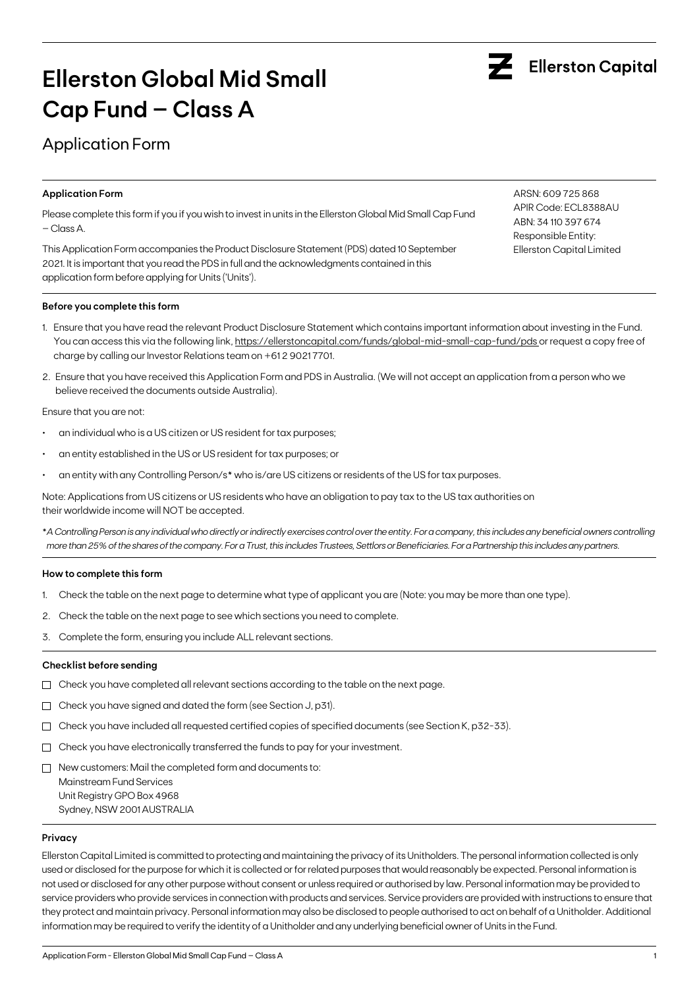

# **Ellerston Global Mid Small Cap Fund – Class A**

## Application Form

### **Application Form**

Please complete this form if you if you wish to invest in units in the Ellerston Global Mid Small Cap Fund – Class A.

This Application Form accompanies the Product Disclosure Statement (PDS) dated 10 September 2021. It is important that you read the PDS in full and the acknowledgments contained in this application form before applying for Units ('Units').

### **Before you complete this form**

- 1. Ensure that you have read the relevant Product Disclosure Statement which contains important information about investing in the Fund. You can access this via the following link, [https://ellerstoncapital.com/funds/global-mid-small-cap-fund/pds](https://ellerstoncapital.com/funds/global-mid-small-cap-fund/pds ) or request a copy free of charge by calling our Investor Relations team on +61 2 9021 7701.
- 2. Ensure that you have received this Application Form and PDS in Australia. (We will not accept an application from a person who we believe received the documents outside Australia).

Ensure that you are not:

- an individual who is a US citizen or US resident for tax purposes;
- an entity established in the US or US resident for tax purposes; or
- an entity with any Controlling Person/s\* who is/are US citizens or residents of the US for tax purposes.

Note: Applications from US citizens or US residents who have an obligation to pay tax to the US tax authorities on their worldwide income will NOT be accepted.

\**A Controlling Person is any individual who directly or indirectly exercises control over the entity. For a company, this includes any beneficial owners controlling more than 25% of the shares of the company. For a Trust, this includes Trustees, Settlors or Beneficiaries. For a Partnership this includes any partners.*

### **How to complete this form**

- 1. Check the table on the next page to determine what type of applicant you are (Note: you may be more than one type).
- 2. Check the table on the next page to see which sections you need to complete.
- 3. Complete the form, ensuring you include ALL relevant sections.

### **Checklist before sending**

- $\Box$  Check you have completed all relevant sections according to the table on the next page.
- $\Box$  Check you have signed and dated the form (see Section J, p31).
- $\Box$  Check you have included all requested certified copies of specified documents (see Section K, p32-33).
- $\Box$  Check you have electronically transferred the funds to pay for your investment.
- $\Box$  New customers: Mail the completed form and documents to:

Mainstream Fund Services Unit Registry GPO Box 4968 Sydney, NSW 2001 AUSTRALIA

### **Privacy**

Ellerston Capital Limited is committed to protecting and maintaining the privacy of its Unitholders. The personal information collected is only used or disclosed for the purpose for which it is collected or for related purposes that would reasonably be expected. Personal information is not used or disclosed for any other purpose without consent or unless required or authorised by law. Personal information may be provided to service providers who provide services in connection with products and services. Service providers are provided with instructions to ensure that they protect and maintain privacy. Personal information may also be disclosed to people authorised to act on behalf of a Unitholder. Additional information may be required to verify the identity of a Unitholder and any underlying beneficial owner of Units in the Fund.

ARSN: 609 725 868 APIR Code: ECL8388AU ABN: 34 110 397 674 Responsible Entity: Ellerston Capital Limited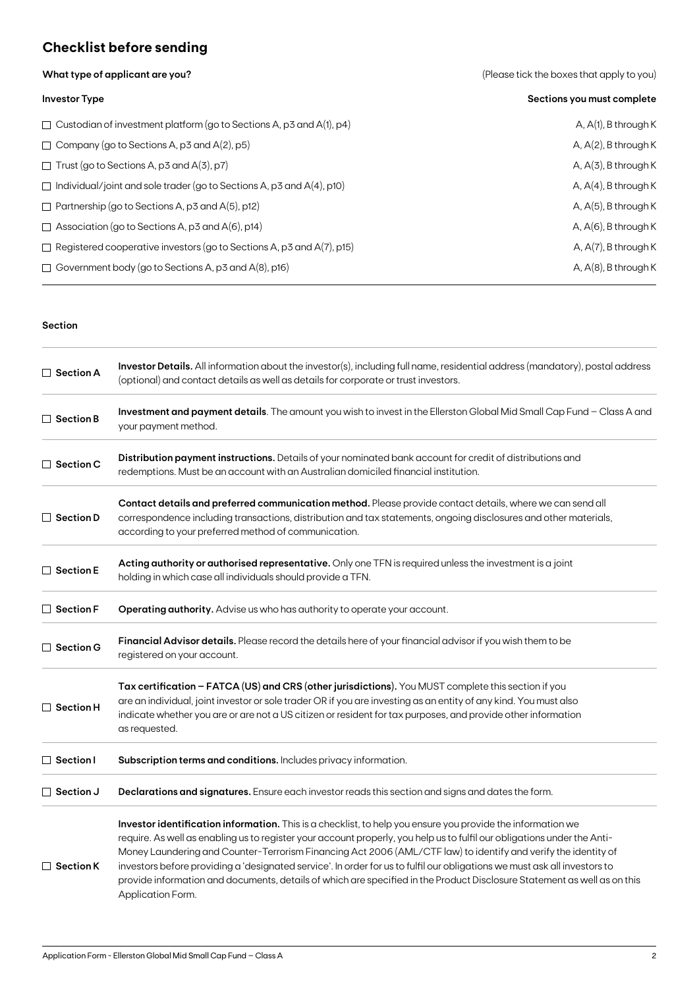## **Checklist before sending**

**What type of applicant are you?** 

|  |  | (Please tick the boxes that apply to you) |  |  |  |
|--|--|-------------------------------------------|--|--|--|
|--|--|-------------------------------------------|--|--|--|

| <b>Investor Type</b>                                                         | Sections you must complete |
|------------------------------------------------------------------------------|----------------------------|
| $\Box$ Custodian of investment platform (go to Sections A, p3 and A(1), p4)  | $A, A(1), B$ through K     |
| $\Box$ Company (go to Sections A, p3 and A(2), p5)                           | A, $A(2)$ , B through K    |
| $\Box$ Trust (go to Sections A, p3 and A(3), p7)                             | $A, A(3)$ , B through K    |
| $\Box$ Individual/joint and sole trader (go to Sections A, p3 and A(4), p10) | A, $A(4)$ , B through K    |
| $\Box$ Partnership (go to Sections A, p3 and A(5), p12)                      | A, $A(5)$ , B through K    |
| $\Box$ Association (go to Sections A, p3 and A(6), p14)                      | A, $A(6)$ , B through K    |
| $\Box$ Registered cooperative investors (go to Sections A, p3 and A(7), p15) | A, $A(7)$ , B through K    |
| $\Box$ Government body (go to Sections A, p3 and A(8), p16)                  | A, $A(8)$ , B through K    |

### **Section**

| $\Box$ Section A | Investor Details. All information about the investor(s), including full name, residential address (mandatory), postal address<br>(optional) and contact details as well as details for corporate or trust investors.                                                                                                                                                                                                                                                                                                                                                                                                                    |  |  |  |  |  |
|------------------|-----------------------------------------------------------------------------------------------------------------------------------------------------------------------------------------------------------------------------------------------------------------------------------------------------------------------------------------------------------------------------------------------------------------------------------------------------------------------------------------------------------------------------------------------------------------------------------------------------------------------------------------|--|--|--|--|--|
| $\Box$ Section B | Investment and payment details. The amount you wish to invest in the Ellerston Global Mid Small Cap Fund - Class A and<br>your payment method.                                                                                                                                                                                                                                                                                                                                                                                                                                                                                          |  |  |  |  |  |
| $\Box$ Section C | Distribution payment instructions. Details of your nominated bank account for credit of distributions and<br>redemptions. Must be an account with an Australian domiciled financial institution.                                                                                                                                                                                                                                                                                                                                                                                                                                        |  |  |  |  |  |
| $\Box$ Section D | Contact details and preferred communication method. Please provide contact details, where we can send all<br>correspondence including transactions, distribution and tax statements, ongoing disclosures and other materials,<br>according to your preferred method of communication.                                                                                                                                                                                                                                                                                                                                                   |  |  |  |  |  |
| $\Box$ Section E | Acting authority or authorised representative. Only one TFN is required unless the investment is a joint<br>holding in which case all individuals should provide a TFN.                                                                                                                                                                                                                                                                                                                                                                                                                                                                 |  |  |  |  |  |
| $\Box$ Section F | Operating authority. Advise us who has authority to operate your account.                                                                                                                                                                                                                                                                                                                                                                                                                                                                                                                                                               |  |  |  |  |  |
| $\Box$ Section G | Financial Advisor details. Please record the details here of your financial advisor if you wish them to be<br>registered on your account.                                                                                                                                                                                                                                                                                                                                                                                                                                                                                               |  |  |  |  |  |
| $\Box$ Section H | Tax certification - FATCA (US) and CRS (other jurisdictions). You MUST complete this section if you<br>are an individual, joint investor or sole trader OR if you are investing as an entity of any kind. You must also<br>indicate whether you are or are not a US citizen or resident for tax purposes, and provide other information<br>as requested.                                                                                                                                                                                                                                                                                |  |  |  |  |  |
| $\Box$ Section I | Subscription terms and conditions. Includes privacy information.                                                                                                                                                                                                                                                                                                                                                                                                                                                                                                                                                                        |  |  |  |  |  |
| $\Box$ Section J | Declarations and signatures. Ensure each investor reads this section and signs and dates the form.                                                                                                                                                                                                                                                                                                                                                                                                                                                                                                                                      |  |  |  |  |  |
| $\Box$ Section K | Investor identification information. This is a checklist, to help you ensure you provide the information we<br>require. As well as enabling us to register your account properly, you help us to fulfil our obligations under the Anti-<br>Money Laundering and Counter-Terrorism Financing Act 2006 (AML/CTF law) to identify and verify the identity of<br>investors before providing a 'designated service'. In order for us to fulfil our obligations we must ask all investors to<br>provide information and documents, details of which are specified in the Product Disclosure Statement as well as on this<br>Application Form. |  |  |  |  |  |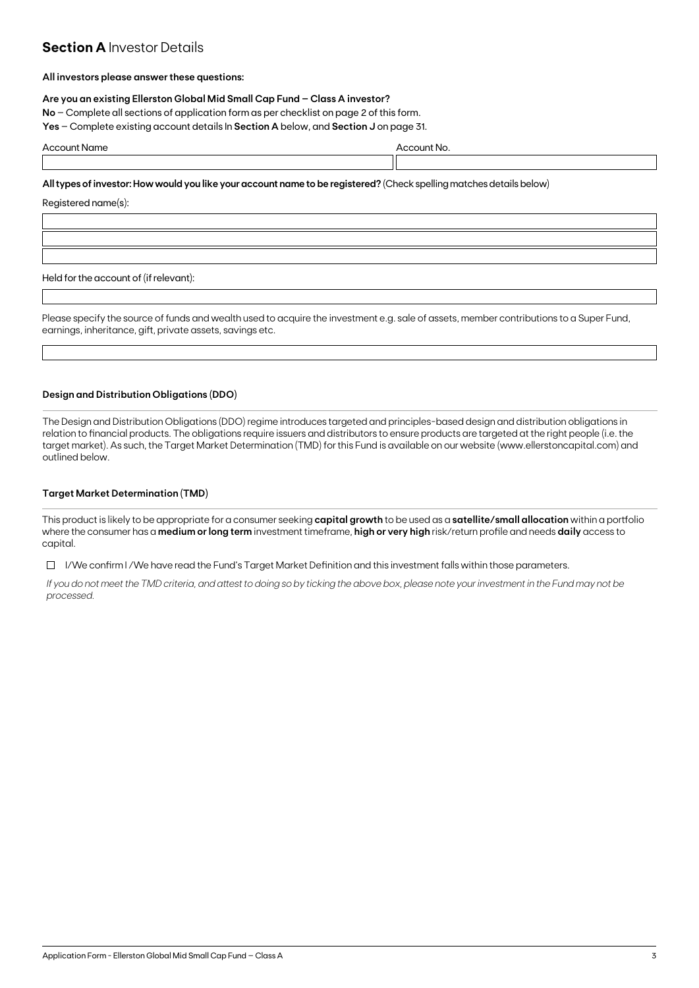### **Section A Investor Details**

### **All investors please answer these questions:**

### **Are you an existing Ellerston Global Mid Small Cap Fund – Class A investor?**

**No** – Complete all sections of application form as per checklist on page 2 of this form.

**Yes** – Complete existing account details In **Section A** below, and **Section J** on page 31.

| A | . |  |  |
|---|---|--|--|
|   |   |  |  |

### **All types of investor: How would you like your account name to be registered?** (Check spelling matches details below)

Registered name(s):

Held for the account of (if relevant):

Please specify the source of funds and wealth used to acquire the investment e.g. sale of assets, member contributions to a Super Fund, earnings, inheritance, gift, private assets, savings etc.

### **Design and Distribution Obligations (DDO)**

The Design and Distribution Obligations (DDO) regime introduces targeted and principles-based design and distribution obligations in relation to financial products. The obligations require issuers and distributors to ensure products are targeted at the right people (i.e. the target market). As such, the Target Market Determination (TMD) for this Fund is available on our website (www.ellerstoncapital.com) and outlined below.

### **Target Market Determination (TMD)**

This product is likely to be appropriate for a consumer seeking **capital growth** to be used as a **satellite/small allocation** within a portfolio where the consumer has a **medium or long term** investment timeframe, **high or very high** risk/return profile and needs **daily** access to capital.

 $\Box$  I/We confirm I/We have read the Fund's Target Market Definition and this investment falls within those parameters.

*If you do not meet the TMD criteria, and attest to doing so by ticking the above box, please note your investment in the Fund may not be processed.*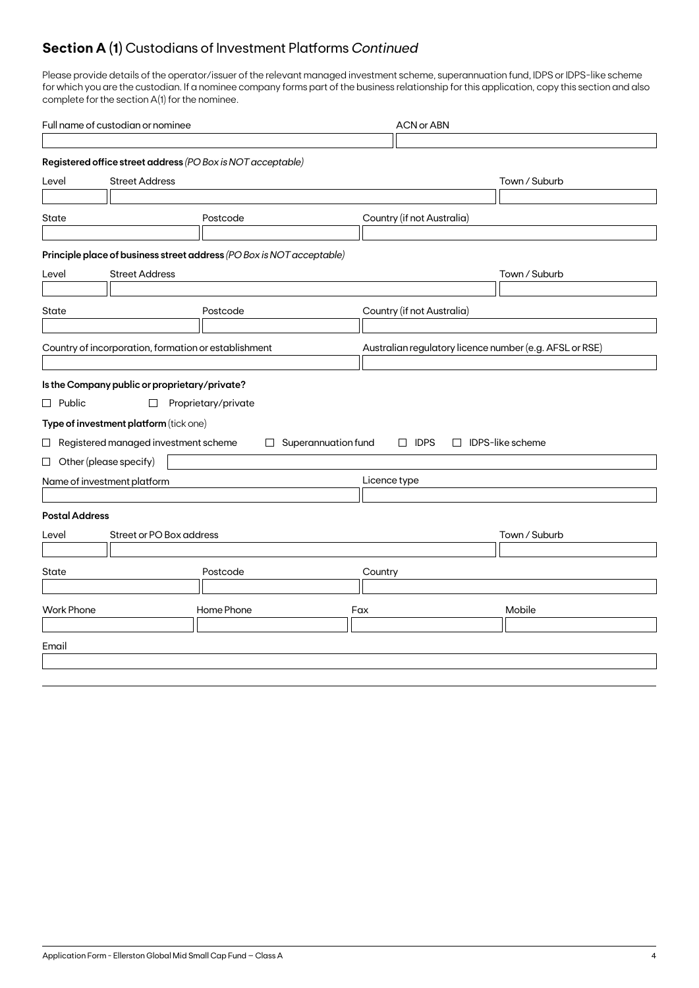## **Section A (1)** Custodians of Investment Platforms *Continued*

Please provide details of the operator/issuer of the relevant managed investment scheme, superannuation fund, IDPS or IDPS-like scheme for which you are the custodian. If a nominee company forms part of the business relationship for this application, copy this section and also complete for the section A(1) for the nominee.

| Full name of custodian or nominee |                                                      |                                                                       | <b>ACN or ABN</b>   |                            |                         |                                                         |  |
|-----------------------------------|------------------------------------------------------|-----------------------------------------------------------------------|---------------------|----------------------------|-------------------------|---------------------------------------------------------|--|
|                                   |                                                      |                                                                       |                     |                            |                         |                                                         |  |
|                                   |                                                      | Registered office street address (PO Box is NOT acceptable)           |                     |                            |                         |                                                         |  |
| Level                             | <b>Street Address</b>                                |                                                                       |                     |                            |                         | Town / Suburb                                           |  |
|                                   |                                                      |                                                                       |                     |                            |                         |                                                         |  |
| State<br>Postcode                 |                                                      |                                                                       |                     | Country (if not Australia) |                         |                                                         |  |
|                                   |                                                      |                                                                       |                     |                            |                         |                                                         |  |
|                                   |                                                      | Principle place of business street address (PO Box is NOT acceptable) |                     |                            |                         |                                                         |  |
| Level                             | <b>Street Address</b>                                |                                                                       |                     |                            |                         | Town / Suburb                                           |  |
|                                   |                                                      |                                                                       |                     |                            |                         |                                                         |  |
| State                             |                                                      | Postcode                                                              |                     | Country (if not Australia) |                         |                                                         |  |
|                                   |                                                      |                                                                       |                     |                            |                         |                                                         |  |
|                                   | Country of incorporation, formation or establishment |                                                                       |                     |                            |                         | Australian regulatory licence number (e.g. AFSL or RSE) |  |
|                                   |                                                      |                                                                       |                     |                            |                         |                                                         |  |
|                                   | Is the Company public or proprietary/private?        |                                                                       |                     |                            |                         |                                                         |  |
| $\Box$ Public                     | $\Box$                                               | Proprietary/private                                                   |                     |                            |                         |                                                         |  |
|                                   | Type of investment platform (tick one)               |                                                                       |                     |                            |                         |                                                         |  |
|                                   | $\Box$ Registered managed investment scheme          | $\Box$                                                                | Superannuation fund | $\Box$ IDPS                | $\Box$ IDPS-like scheme |                                                         |  |
|                                   | $\Box$ Other (please specify)                        |                                                                       |                     |                            |                         |                                                         |  |
|                                   | Name of investment platform                          |                                                                       |                     | Licence type               |                         |                                                         |  |
|                                   |                                                      |                                                                       |                     |                            |                         |                                                         |  |
| <b>Postal Address</b>             |                                                      |                                                                       |                     |                            |                         |                                                         |  |
| Level                             | Street or PO Box address                             |                                                                       |                     |                            |                         | Town / Suburb                                           |  |
|                                   |                                                      |                                                                       |                     |                            |                         |                                                         |  |
| State                             |                                                      | Postcode                                                              |                     | Country                    |                         |                                                         |  |
|                                   |                                                      |                                                                       |                     |                            |                         |                                                         |  |
| <b>Work Phone</b>                 |                                                      | Home Phone                                                            |                     | Fax                        |                         | Mobile                                                  |  |
|                                   |                                                      |                                                                       |                     |                            |                         |                                                         |  |
| Email                             |                                                      |                                                                       |                     |                            |                         |                                                         |  |
|                                   |                                                      |                                                                       |                     |                            |                         |                                                         |  |
|                                   |                                                      |                                                                       |                     |                            |                         |                                                         |  |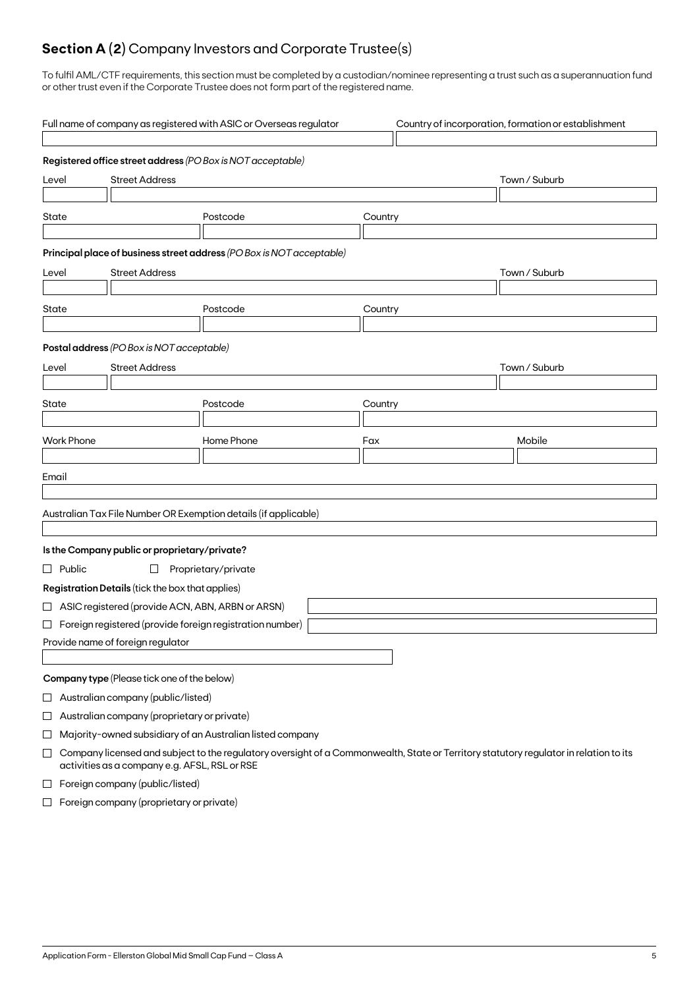## **Section A (2)** Company Investors and Corporate Trustee(s)

To fulfil AML/CTF requirements, this section must be completed by a custodian/nominee representing a trust such as a superannuation fund or other trust even if the Corporate Trustee does not form part of the registered name.

|                                                 | Full name of company as registered with ASIC or Overseas regulator<br>Country of incorporation, formation or establishment                                                             |                                                    |                                                                       |         |               |  |  |
|-------------------------------------------------|----------------------------------------------------------------------------------------------------------------------------------------------------------------------------------------|----------------------------------------------------|-----------------------------------------------------------------------|---------|---------------|--|--|
|                                                 |                                                                                                                                                                                        |                                                    | Registered office street address (PO Box is NOT acceptable)           |         |               |  |  |
| <b>Street Address</b><br>Level                  |                                                                                                                                                                                        |                                                    |                                                                       |         | Town / Suburb |  |  |
| State                                           |                                                                                                                                                                                        |                                                    | Postcode                                                              | Country |               |  |  |
|                                                 |                                                                                                                                                                                        |                                                    | Principal place of business street address (PO Box is NOT acceptable) |         |               |  |  |
| <b>Street Address</b><br>Town / Suburb<br>Level |                                                                                                                                                                                        |                                                    |                                                                       |         |               |  |  |
| State                                           |                                                                                                                                                                                        |                                                    | Postcode                                                              | Country |               |  |  |
|                                                 |                                                                                                                                                                                        | Postal address (PO Box is NOT acceptable)          |                                                                       |         |               |  |  |
| Level                                           |                                                                                                                                                                                        | <b>Street Address</b>                              |                                                                       |         | Town / Suburb |  |  |
|                                                 |                                                                                                                                                                                        |                                                    |                                                                       |         |               |  |  |
| State                                           |                                                                                                                                                                                        |                                                    | Postcode                                                              | Country |               |  |  |
|                                                 |                                                                                                                                                                                        |                                                    |                                                                       |         |               |  |  |
|                                                 | <b>Work Phone</b>                                                                                                                                                                      |                                                    | Home Phone                                                            | Fax     | Mobile        |  |  |
| Email                                           |                                                                                                                                                                                        |                                                    |                                                                       |         |               |  |  |
|                                                 |                                                                                                                                                                                        |                                                    |                                                                       |         |               |  |  |
|                                                 |                                                                                                                                                                                        |                                                    | Australian Tax File Number OR Exemption details (if applicable)       |         |               |  |  |
|                                                 |                                                                                                                                                                                        | Is the Company public or proprietary/private?      |                                                                       |         |               |  |  |
|                                                 | $\Box$ Public                                                                                                                                                                          | $\Box$                                             | Proprietary/private                                                   |         |               |  |  |
|                                                 |                                                                                                                                                                                        | Registration Details (tick the box that applies)   |                                                                       |         |               |  |  |
|                                                 |                                                                                                                                                                                        | □ ASIC registered (provide ACN, ABN, ARBN or ARSN) |                                                                       |         |               |  |  |
|                                                 |                                                                                                                                                                                        |                                                    | $\Box$ Foreign registered (provide foreign registration number)       |         |               |  |  |
|                                                 |                                                                                                                                                                                        | Provide name of foreign regulator                  |                                                                       |         |               |  |  |
|                                                 |                                                                                                                                                                                        |                                                    |                                                                       |         |               |  |  |
|                                                 |                                                                                                                                                                                        | Company type (Please tick one of the below)        |                                                                       |         |               |  |  |
| $\sqcup$                                        |                                                                                                                                                                                        | Australian company (public/listed)                 |                                                                       |         |               |  |  |
| $\Box$                                          |                                                                                                                                                                                        | Australian company (proprietary or private)        |                                                                       |         |               |  |  |
| ⊔                                               |                                                                                                                                                                                        |                                                    | Majority-owned subsidiary of an Australian listed company             |         |               |  |  |
| $\Box$                                          | Company licensed and subject to the regulatory oversight of a Commonwealth, State or Territory statutory regulator in relation to its<br>activities as a company e.g. AFSL, RSL or RSE |                                                    |                                                                       |         |               |  |  |
| $\Box$                                          | Foreign company (public/listed)                                                                                                                                                        |                                                    |                                                                       |         |               |  |  |

 $\Box$  Foreign company (proprietary or private)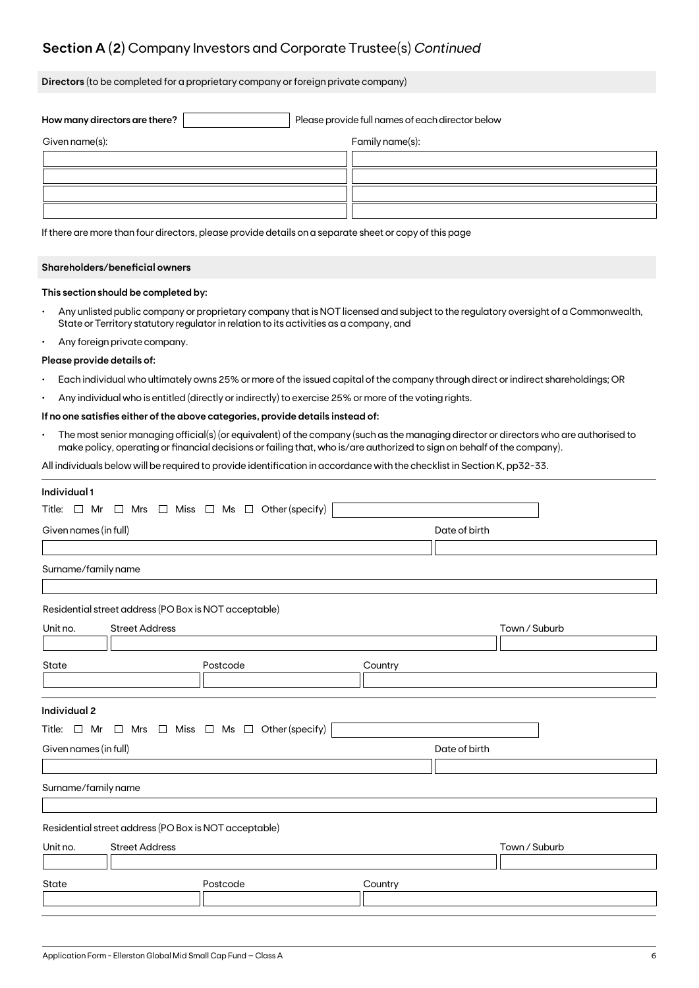## **Section A (2)** Company Investors and Corporate Trustee(s) *Continued*

**Directors** (to be completed for a proprietary company or foreign private company)

| How many directors are there? | Please provide full names of each director below |                 |  |  |
|-------------------------------|--------------------------------------------------|-----------------|--|--|
| Given name(s):                |                                                  | Family name(s): |  |  |
|                               |                                                  |                 |  |  |
|                               |                                                  |                 |  |  |
|                               |                                                  |                 |  |  |
|                               |                                                  |                 |  |  |

If there are more than four directors, please provide details on a separate sheet or copy of this page

### **Shareholders/beneficial owners**

### **This section should be completed by:**

- Any unlisted public company or proprietary company that is NOT licensed and subject to the regulatory oversight of a Commonwealth, State or Territory statutory regulator in relation to its activities as a company, and
- Any foreign private company.

#### **Please provide details of:**

- Each individual who ultimately owns 25% or more of the issued capital of the company through direct or indirect shareholdings; OR
- Any individual who is entitled (directly or indirectly) to exercise 25% or more of the voting rights.

### **If no one satisfies either of the above categories, provide details instead of:**

• The most senior managing official(s) (or equivalent) of the company (such as the managing director or directors who are authorised to make policy, operating or financial decisions or failing that, who is/are authorized to sign on behalf of the company).

All individuals below will be required to provide identification in accordance with the checklist in Section K, pp32-33.

| Individual 1          |                                                                          |          |  |         |               |               |  |  |
|-----------------------|--------------------------------------------------------------------------|----------|--|---------|---------------|---------------|--|--|
|                       | Title: $\Box$ Mr $\Box$ Mrs $\Box$ Miss $\Box$ Ms $\Box$ Other (specify) |          |  |         |               |               |  |  |
|                       | Given names (in full)                                                    |          |  |         |               |               |  |  |
|                       |                                                                          |          |  |         |               |               |  |  |
| Surname/family name   |                                                                          |          |  |         |               |               |  |  |
|                       |                                                                          |          |  |         |               |               |  |  |
|                       | Residential street address (PO Box is NOT acceptable)                    |          |  |         |               |               |  |  |
| Unit no.              | <b>Street Address</b>                                                    |          |  |         |               | Town / Suburb |  |  |
|                       |                                                                          |          |  |         |               |               |  |  |
| State                 |                                                                          | Postcode |  | Country |               |               |  |  |
|                       |                                                                          |          |  |         |               |               |  |  |
|                       |                                                                          |          |  |         |               |               |  |  |
| <b>Individual 2</b>   |                                                                          |          |  |         |               |               |  |  |
|                       | Title: $\Box$ Mr $\Box$ Mrs $\Box$ Miss $\Box$ Ms $\Box$ Other (specify) |          |  |         |               |               |  |  |
| Given names (in full) |                                                                          |          |  |         | Date of birth |               |  |  |
|                       |                                                                          |          |  |         |               |               |  |  |
| Surname/family name   |                                                                          |          |  |         |               |               |  |  |
|                       |                                                                          |          |  |         |               |               |  |  |
|                       | Residential street address (PO Box is NOT acceptable)                    |          |  |         |               |               |  |  |
| Unit no.              | <b>Street Address</b>                                                    |          |  |         |               | Town / Suburb |  |  |
|                       |                                                                          |          |  |         |               |               |  |  |
| State                 |                                                                          | Postcode |  | Country |               |               |  |  |
|                       |                                                                          |          |  |         |               |               |  |  |
|                       |                                                                          |          |  |         |               |               |  |  |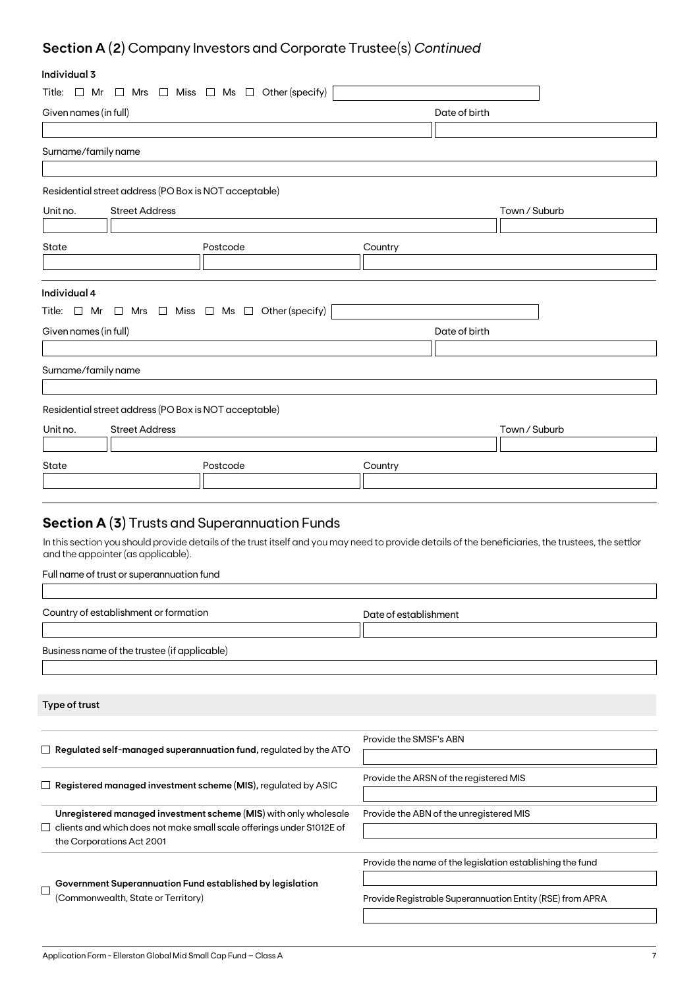## **Section A (2)** Company Investors and Corporate Trustee(s) *Continued*

### **Individual 3**

| inaiviauai 5          |                                                       |                                                                              |                        |                                                                                                                                                    |
|-----------------------|-------------------------------------------------------|------------------------------------------------------------------------------|------------------------|----------------------------------------------------------------------------------------------------------------------------------------------------|
| Title: $\Box$ Mr      |                                                       | $\Box$ Mrs $\Box$ Miss $\Box$ Ms $\Box$ Other (specify)                      |                        |                                                                                                                                                    |
| Given names (in full) |                                                       |                                                                              |                        | Date of birth                                                                                                                                      |
|                       |                                                       |                                                                              |                        |                                                                                                                                                    |
| Surname/family name   |                                                       |                                                                              |                        |                                                                                                                                                    |
|                       |                                                       |                                                                              |                        |                                                                                                                                                    |
|                       | Residential street address (PO Box is NOT acceptable) |                                                                              |                        |                                                                                                                                                    |
| Unit no.              | <b>Street Address</b>                                 |                                                                              |                        | Town / Suburb                                                                                                                                      |
|                       |                                                       |                                                                              |                        |                                                                                                                                                    |
| State                 |                                                       | Postcode                                                                     | Country                |                                                                                                                                                    |
|                       |                                                       |                                                                              |                        |                                                                                                                                                    |
|                       |                                                       |                                                                              |                        |                                                                                                                                                    |
| Individual 4          |                                                       |                                                                              |                        |                                                                                                                                                    |
|                       |                                                       | Title: $\Box$ Mr $\Box$ Mrs $\Box$ Miss $\Box$ Ms $\Box$ Other (specify)     |                        |                                                                                                                                                    |
| Given names (in full) |                                                       |                                                                              |                        | Date of birth                                                                                                                                      |
|                       |                                                       |                                                                              |                        |                                                                                                                                                    |
| Surname/family name   |                                                       |                                                                              |                        |                                                                                                                                                    |
|                       |                                                       |                                                                              |                        |                                                                                                                                                    |
|                       | Residential street address (PO Box is NOT acceptable) |                                                                              |                        |                                                                                                                                                    |
| Unit no.              | <b>Street Address</b>                                 |                                                                              |                        | Town / Suburb                                                                                                                                      |
|                       |                                                       |                                                                              |                        |                                                                                                                                                    |
| State                 |                                                       | Postcode                                                                     | Country                |                                                                                                                                                    |
|                       |                                                       |                                                                              |                        |                                                                                                                                                    |
|                       |                                                       |                                                                              |                        |                                                                                                                                                    |
|                       |                                                       | <b>Section A (3)</b> Trusts and Superannuation Funds                         |                        |                                                                                                                                                    |
|                       |                                                       |                                                                              |                        | In this section you should provide details of the trust itself and you may need to provide details of the beneficiaries, the trustees, the settlor |
|                       | and the appointer (as applicable).                    |                                                                              |                        |                                                                                                                                                    |
|                       | Full name of trust or superannuation fund             |                                                                              |                        |                                                                                                                                                    |
|                       |                                                       |                                                                              |                        |                                                                                                                                                    |
|                       | Country of establishment or formation                 |                                                                              | Date of establishment  |                                                                                                                                                    |
|                       |                                                       |                                                                              |                        |                                                                                                                                                    |
|                       | Business name of the trustee (if applicable)          |                                                                              |                        |                                                                                                                                                    |
|                       |                                                       |                                                                              |                        |                                                                                                                                                    |
|                       |                                                       |                                                                              |                        |                                                                                                                                                    |
| Type of trust         |                                                       |                                                                              |                        |                                                                                                                                                    |
|                       |                                                       |                                                                              |                        |                                                                                                                                                    |
|                       |                                                       |                                                                              | Provide the SMSF's ABN |                                                                                                                                                    |
|                       |                                                       | $\Box$ Regulated self-managed superannuation fund, regulated by the ATO      |                        |                                                                                                                                                    |
|                       |                                                       |                                                                              |                        | Provide the ARSN of the registered MIS                                                                                                             |
|                       |                                                       | $\Box$ Registered managed investment scheme (MIS), regulated by ASIC         |                        |                                                                                                                                                    |
|                       |                                                       | Unregistered managed investment scheme (MIS) with only wholesale             |                        | Provide the ABN of the unregistered MIS                                                                                                            |
|                       |                                                       | $\Box$ clients and which does not make small scale offerings under S1012E of |                        |                                                                                                                                                    |
|                       | the Corporations Act 2001                             |                                                                              |                        |                                                                                                                                                    |
|                       |                                                       |                                                                              |                        | Provide the name of the legislation establishing the fund                                                                                          |
|                       |                                                       | Government Superannuation Fund established by legislation                    |                        |                                                                                                                                                    |

 $\hfill \square$ (Commonwealth, State or Territory)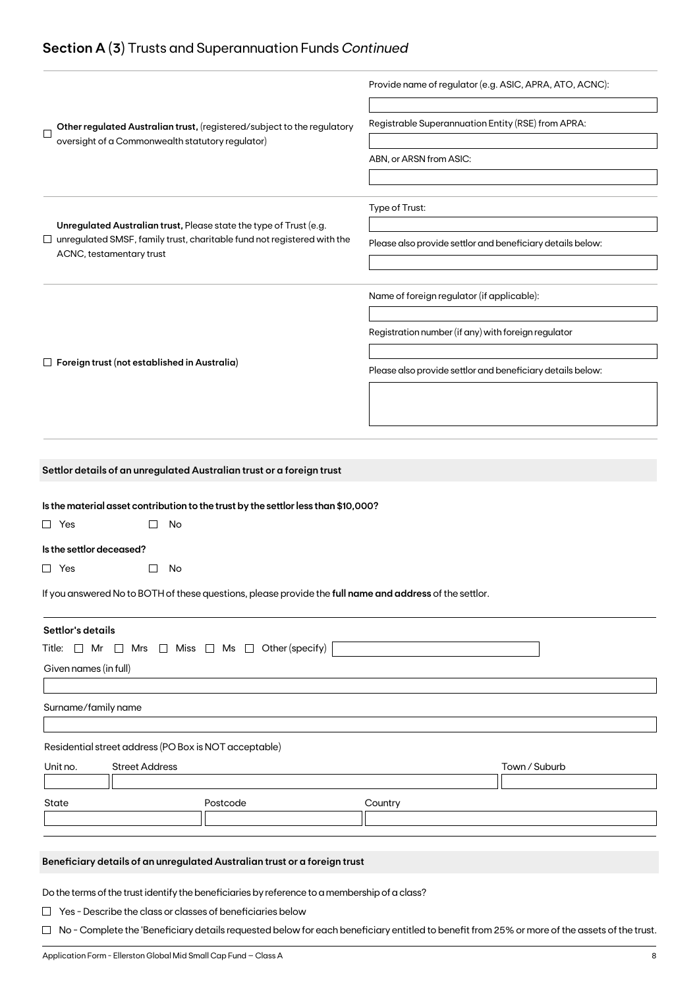## **Section A (3)** Trusts and Superannuation Funds *Continued*

|                                                                                                                                                             | Provide name of regulator (e.g. ASIC, APRA, ATO, ACNC):    |  |  |  |
|-------------------------------------------------------------------------------------------------------------------------------------------------------------|------------------------------------------------------------|--|--|--|
| Other regulated Australian trust, (registered/subject to the regulatory<br>$\Box$                                                                           | Registrable Superannuation Entity (RSE) from APRA:         |  |  |  |
| oversight of a Commonwealth statutory regulator)                                                                                                            |                                                            |  |  |  |
|                                                                                                                                                             | ABN, or ARSN from ASIC:                                    |  |  |  |
|                                                                                                                                                             |                                                            |  |  |  |
|                                                                                                                                                             | Type of Trust:                                             |  |  |  |
| Unregulated Australian trust, Please state the type of Trust (e.g.<br>$\Box$ unregulated SMSF, family trust, charitable fund not registered with the        | Please also provide settlor and beneficiary details below: |  |  |  |
| ACNC, testamentary trust                                                                                                                                    |                                                            |  |  |  |
|                                                                                                                                                             |                                                            |  |  |  |
|                                                                                                                                                             | Name of foreign regulator (if applicable):                 |  |  |  |
|                                                                                                                                                             | Registration number (if any) with foreign regulator        |  |  |  |
|                                                                                                                                                             |                                                            |  |  |  |
| $\Box$ Foreign trust (not established in Australia)                                                                                                         | Please also provide settlor and beneficiary details below: |  |  |  |
|                                                                                                                                                             |                                                            |  |  |  |
|                                                                                                                                                             |                                                            |  |  |  |
|                                                                                                                                                             |                                                            |  |  |  |
|                                                                                                                                                             |                                                            |  |  |  |
| Settlor details of an unregulated Australian trust or a foreign trust                                                                                       |                                                            |  |  |  |
|                                                                                                                                                             |                                                            |  |  |  |
| Is the material asset contribution to the trust by the settlor less than \$10,000?                                                                          |                                                            |  |  |  |
| No<br>$\Box$ Yes                                                                                                                                            |                                                            |  |  |  |
| Is the settlor deceased?                                                                                                                                    |                                                            |  |  |  |
| $\Box$ Yes<br>No<br>$\Box$                                                                                                                                  |                                                            |  |  |  |
| If you answered No to BOTH of these questions, please provide the full name and address of the settlor.                                                     |                                                            |  |  |  |
| Settlor's details                                                                                                                                           |                                                            |  |  |  |
| $\Box$ Miss $\Box$ Ms $\Box$ Other (specify)<br>Title: □ Mr<br>Mrs<br>$\Box$                                                                                |                                                            |  |  |  |
| Given names (in full)                                                                                                                                       |                                                            |  |  |  |
|                                                                                                                                                             |                                                            |  |  |  |
| Surname/family name                                                                                                                                         |                                                            |  |  |  |
|                                                                                                                                                             |                                                            |  |  |  |
| Residential street address (PO Box is NOT acceptable)                                                                                                       |                                                            |  |  |  |
| Unit no.<br><b>Street Address</b>                                                                                                                           | Town / Suburb                                              |  |  |  |
| State<br>Postcode                                                                                                                                           | Country                                                    |  |  |  |
|                                                                                                                                                             |                                                            |  |  |  |
|                                                                                                                                                             |                                                            |  |  |  |
| Beneficiary details of an unregulated Australian trust or a foreign trust                                                                                   |                                                            |  |  |  |
|                                                                                                                                                             |                                                            |  |  |  |
|                                                                                                                                                             |                                                            |  |  |  |
| Do the terms of the trust identify the beneficiaries by reference to a membership of a class?<br>Yes - Describe the class or classes of beneficiaries below |                                                            |  |  |  |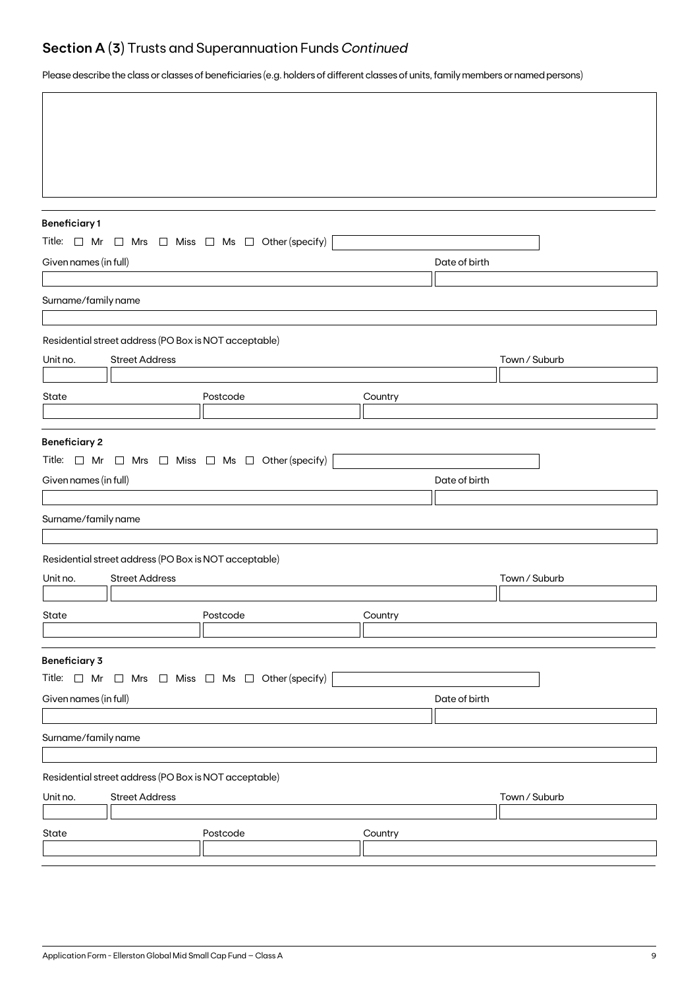## **Section A (3)** Trusts and Superannuation Funds *Continued*

Please describe the class or classes of beneficiaries (e.g. holders of different classes of units, family members or named persons)

| <b>Beneficiary1</b>   |                                                                          |                                                                          |         |               |               |  |  |  |
|-----------------------|--------------------------------------------------------------------------|--------------------------------------------------------------------------|---------|---------------|---------------|--|--|--|
|                       |                                                                          | Title: $\Box$ Mr $\Box$ Mrs $\Box$ Miss $\Box$ Ms $\Box$ Other (specify) |         |               |               |  |  |  |
| Given names (in full) |                                                                          |                                                                          |         | Date of birth |               |  |  |  |
|                       |                                                                          |                                                                          |         |               |               |  |  |  |
| Surname/family name   |                                                                          |                                                                          |         |               |               |  |  |  |
|                       | Residential street address (PO Box is NOT acceptable)                    |                                                                          |         |               |               |  |  |  |
| Unit no.              | <b>Street Address</b>                                                    |                                                                          |         |               | Town / Suburb |  |  |  |
|                       |                                                                          |                                                                          |         |               |               |  |  |  |
| State                 |                                                                          | Postcode                                                                 | Country |               |               |  |  |  |
|                       |                                                                          |                                                                          |         |               |               |  |  |  |
| <b>Beneficiary 2</b>  | Title: $\Box$ Mr $\Box$ Mrs $\Box$ Miss $\Box$ Ms $\Box$ Other (specify) |                                                                          |         |               |               |  |  |  |
| Given names (in full) |                                                                          |                                                                          |         | Date of birth |               |  |  |  |
|                       |                                                                          |                                                                          |         |               |               |  |  |  |
| Surname/family name   |                                                                          |                                                                          |         |               |               |  |  |  |
|                       | Residential street address (PO Box is NOT acceptable)                    |                                                                          |         |               |               |  |  |  |
| Unit no.              | <b>Street Address</b>                                                    |                                                                          |         |               | Town / Suburb |  |  |  |
|                       |                                                                          |                                                                          |         |               |               |  |  |  |
| State                 |                                                                          | Postcode                                                                 | Country |               |               |  |  |  |
|                       |                                                                          |                                                                          |         |               |               |  |  |  |
| <b>Beneficiary 3</b>  |                                                                          |                                                                          |         |               |               |  |  |  |
|                       |                                                                          | Title: $\Box$ Mr $\Box$ Mrs $\Box$ Miss $\Box$ Ms $\Box$ Other (specify) |         |               |               |  |  |  |
| Given names (in full) |                                                                          |                                                                          |         | Date of birth |               |  |  |  |
| Surname/family name   |                                                                          |                                                                          |         |               |               |  |  |  |
|                       |                                                                          |                                                                          |         |               |               |  |  |  |
|                       | Residential street address (PO Box is NOT acceptable)                    |                                                                          |         |               |               |  |  |  |
| Unit no.              | <b>Street Address</b>                                                    |                                                                          |         |               | Town / Suburb |  |  |  |
| State                 |                                                                          | Postcode                                                                 | Country |               |               |  |  |  |
|                       |                                                                          |                                                                          |         |               |               |  |  |  |
|                       |                                                                          |                                                                          |         |               |               |  |  |  |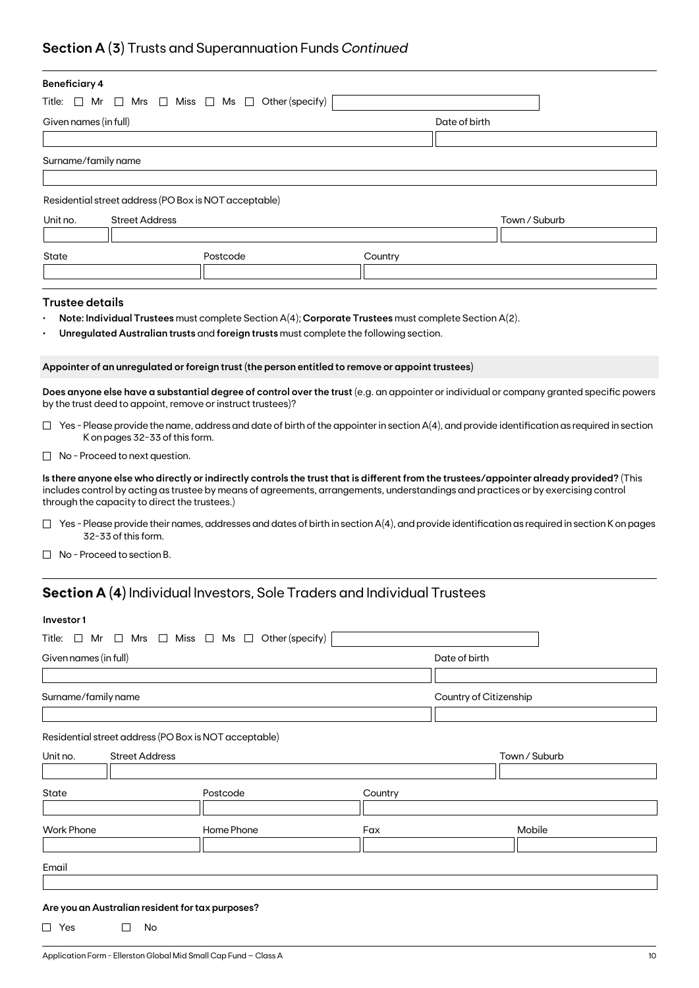## **Section A (3)** Trusts and Superannuation Funds *Continued*

| <b>Beneficiary 4</b>                                                                                                                                                                                                                                                                                                           |                                                                                                      |         |                                                                                                                                                     |  |  |  |  |
|--------------------------------------------------------------------------------------------------------------------------------------------------------------------------------------------------------------------------------------------------------------------------------------------------------------------------------|------------------------------------------------------------------------------------------------------|---------|-----------------------------------------------------------------------------------------------------------------------------------------------------|--|--|--|--|
| Title: $\Box$ Mr<br>$\Box$ Mrs $\Box$ Miss $\Box$ Ms $\Box$ Other (specify)                                                                                                                                                                                                                                                    |                                                                                                      |         |                                                                                                                                                     |  |  |  |  |
| Given names (in full)                                                                                                                                                                                                                                                                                                          |                                                                                                      |         | Date of birth                                                                                                                                       |  |  |  |  |
|                                                                                                                                                                                                                                                                                                                                |                                                                                                      |         |                                                                                                                                                     |  |  |  |  |
| Surname/family name                                                                                                                                                                                                                                                                                                            |                                                                                                      |         |                                                                                                                                                     |  |  |  |  |
|                                                                                                                                                                                                                                                                                                                                |                                                                                                      |         |                                                                                                                                                     |  |  |  |  |
| Residential street address (PO Box is NOT acceptable)                                                                                                                                                                                                                                                                          |                                                                                                      |         |                                                                                                                                                     |  |  |  |  |
| Unit no.<br><b>Street Address</b>                                                                                                                                                                                                                                                                                              |                                                                                                      |         | Town / Suburb                                                                                                                                       |  |  |  |  |
|                                                                                                                                                                                                                                                                                                                                |                                                                                                      |         |                                                                                                                                                     |  |  |  |  |
| State                                                                                                                                                                                                                                                                                                                          | Postcode                                                                                             | Country |                                                                                                                                                     |  |  |  |  |
|                                                                                                                                                                                                                                                                                                                                |                                                                                                      |         |                                                                                                                                                     |  |  |  |  |
| <b>Trustee details</b>                                                                                                                                                                                                                                                                                                         |                                                                                                      |         |                                                                                                                                                     |  |  |  |  |
|                                                                                                                                                                                                                                                                                                                                | Note: Individual Trustees must complete Section A(4); Corporate Trustees must complete Section A(2). |         |                                                                                                                                                     |  |  |  |  |
|                                                                                                                                                                                                                                                                                                                                | Unregulated Australian trusts and foreign trusts must complete the following section.                |         |                                                                                                                                                     |  |  |  |  |
|                                                                                                                                                                                                                                                                                                                                |                                                                                                      |         |                                                                                                                                                     |  |  |  |  |
|                                                                                                                                                                                                                                                                                                                                | Appointer of an unregulated or foreign trust (the person entitled to remove or appoint trustees)     |         |                                                                                                                                                     |  |  |  |  |
| by the trust deed to appoint, remove or instruct trustees)?                                                                                                                                                                                                                                                                    |                                                                                                      |         | Does anyone else have a substantial degree of control over the trust (e.g. an appointer or individual or company granted specific powers            |  |  |  |  |
| K on pages 32-33 of this form.                                                                                                                                                                                                                                                                                                 |                                                                                                      |         | $\Box$ Yes - Please provide the name, address and date of birth of the appointer in section A(4), and provide identification as required in section |  |  |  |  |
| $\Box$ No - Proceed to next question.                                                                                                                                                                                                                                                                                          |                                                                                                      |         |                                                                                                                                                     |  |  |  |  |
| Is there anyone else who directly or indirectly controls the trust that is different from the trustees/appointer already provided? (This<br>includes control by acting as trustee by means of agreements, arrangements, understandings and practices or by exercising control<br>through the capacity to direct the trustees.) |                                                                                                      |         |                                                                                                                                                     |  |  |  |  |
| 32-33 of this form.                                                                                                                                                                                                                                                                                                            |                                                                                                      |         | $\Box$ Yes - Please provide their names, addresses and dates of birth in section A(4), and provide identification as required in section K on pages |  |  |  |  |
| No - Proceed to section B.                                                                                                                                                                                                                                                                                                     |                                                                                                      |         |                                                                                                                                                     |  |  |  |  |
|                                                                                                                                                                                                                                                                                                                                | <b>Section A (4)</b> Individual Investors, Sole Traders and Individual Trustees                      |         |                                                                                                                                                     |  |  |  |  |
| Investor1                                                                                                                                                                                                                                                                                                                      |                                                                                                      |         |                                                                                                                                                     |  |  |  |  |
| Title: $\Box$ Mr $\Box$ Mrs $\Box$ Miss $\Box$ Ms $\Box$ Other (specify)                                                                                                                                                                                                                                                       |                                                                                                      |         |                                                                                                                                                     |  |  |  |  |
|                                                                                                                                                                                                                                                                                                                                |                                                                                                      |         |                                                                                                                                                     |  |  |  |  |
| Given names (in full)                                                                                                                                                                                                                                                                                                          |                                                                                                      |         | Date of birth                                                                                                                                       |  |  |  |  |
|                                                                                                                                                                                                                                                                                                                                |                                                                                                      |         |                                                                                                                                                     |  |  |  |  |
| Surname/family name                                                                                                                                                                                                                                                                                                            |                                                                                                      |         | Country of Citizenship                                                                                                                              |  |  |  |  |
|                                                                                                                                                                                                                                                                                                                                |                                                                                                      |         |                                                                                                                                                     |  |  |  |  |

Residential street address (PO Box is NOT acceptable)

| Unit no.          | <b>Street Address</b> |            |         | Town / Suburb |  |
|-------------------|-----------------------|------------|---------|---------------|--|
|                   |                       |            |         |               |  |
| State             |                       | Postcode   | Country |               |  |
|                   |                       |            |         |               |  |
| <b>Work Phone</b> |                       | Home Phone | Fax     | Mobile        |  |
|                   |                       |            |         |               |  |
|                   |                       |            |         |               |  |
| Email             |                       |            |         |               |  |

### **Are you an Australian resident for tax purposes?**

 $\Box$  Yes  $\Box$  No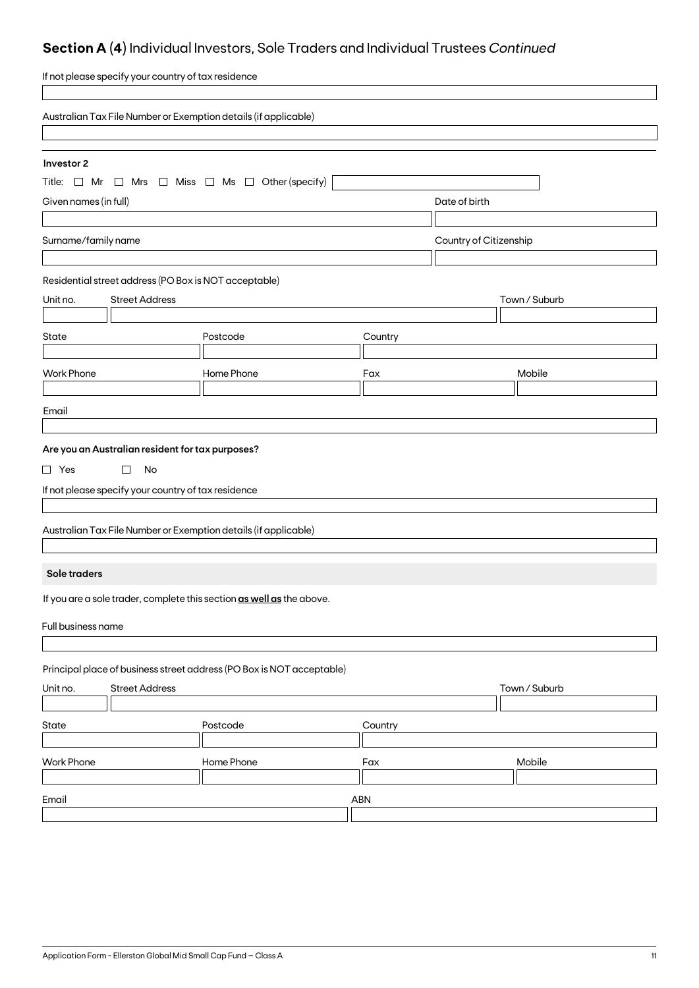## **Section A (4)** Individual Investors, Sole Traders and Individual Trustees *Continued*

| If not please specify your country of tax residence                                                                    |            |         |                        |               |
|------------------------------------------------------------------------------------------------------------------------|------------|---------|------------------------|---------------|
| Australian Tax File Number or Exemption details (if applicable)                                                        |            |         |                        |               |
| Investor 2<br>Title: $\Box$ Mr $\Box$ Mrs $\Box$ Miss $\Box$ Ms $\Box$ Other (specify)                                 |            |         |                        |               |
| Given names (in full)                                                                                                  |            |         | Date of birth          |               |
| Surname/family name                                                                                                    |            |         | Country of Citizenship |               |
| Residential street address (PO Box is NOT acceptable)<br><b>Street Address</b><br>Unit no.                             |            |         |                        | Town / Suburb |
| <b>State</b>                                                                                                           | Postcode   | Country |                        |               |
| <b>Work Phone</b>                                                                                                      | Home Phone | Fax     |                        | Mobile        |
| Email                                                                                                                  |            |         |                        |               |
| Are you an Australian resident for tax purposes?<br>$\Box$ Yes<br>$\Box$<br>No                                         |            |         |                        |               |
| If not please specify your country of tax residence<br>Australian Tax File Number or Exemption details (if applicable) |            |         |                        |               |
| Sole traders                                                                                                           |            |         |                        |               |
| If you are a sole trader, complete this section as well as the above.<br>Full business name                            |            |         |                        |               |
| Principal place of business street address (PO Box is NOT acceptable)<br><b>Street Address</b><br>Unit no.             |            |         |                        | Town / Suburb |
| State                                                                                                                  | Postcode   | Country |                        |               |
| <b>Work Phone</b>                                                                                                      | Home Phone | Fax     |                        | Mobile        |
| Email                                                                                                                  |            | ABN     |                        |               |
|                                                                                                                        |            |         |                        |               |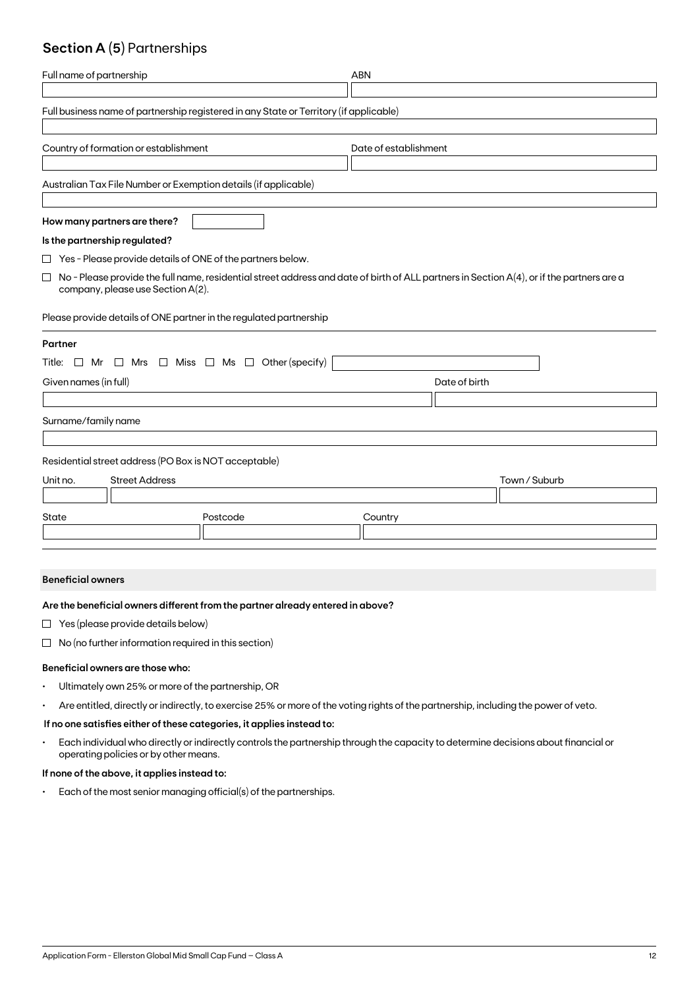## **Section A (5)** Partnerships

| Full name of partnership                                                                                                                                                                 | <b>ABN</b>            |  |  |
|------------------------------------------------------------------------------------------------------------------------------------------------------------------------------------------|-----------------------|--|--|
| Full business name of partnership registered in any State or Territory (if applicable)                                                                                                   |                       |  |  |
| Country of formation or establishment                                                                                                                                                    | Date of establishment |  |  |
| Australian Tax File Number or Exemption details (if applicable)                                                                                                                          |                       |  |  |
| How many partners are there?                                                                                                                                                             |                       |  |  |
| Is the partnership regulated?                                                                                                                                                            |                       |  |  |
| $\Box$ Yes - Please provide details of ONE of the partners below.                                                                                                                        |                       |  |  |
| $\Box$<br>No - Please provide the full name, residential street address and date of birth of ALL partners in Section A(4), or if the partners are a<br>company, please use Section A(2). |                       |  |  |
| Please provide details of ONE partner in the regulated partnership                                                                                                                       |                       |  |  |
| Partner                                                                                                                                                                                  |                       |  |  |
| Title: $\Box$ Mr $\Box$ Mrs $\Box$ Miss $\Box$ Ms $\Box$ Other (specify)                                                                                                                 |                       |  |  |
| Given names (in full)                                                                                                                                                                    | Date of birth         |  |  |
|                                                                                                                                                                                          |                       |  |  |
| Surname/family name                                                                                                                                                                      |                       |  |  |
| Residential street address (PO Box is NOT acceptable)                                                                                                                                    |                       |  |  |
| <b>Street Address</b><br>Unit no.                                                                                                                                                        | Town / Suburb         |  |  |
|                                                                                                                                                                                          |                       |  |  |
| State<br>Postcode                                                                                                                                                                        | Country               |  |  |
|                                                                                                                                                                                          |                       |  |  |

### **Beneficial owners**

### **Are the beneficial owners different from the partner already entered in above?**

- $\Box$  Yes (please provide details below)
- $\Box$  No (no further information required in this section)

### **Beneficial owners are those who:**

- Ultimately own 25% or more of the partnership, OR
- Are entitled, directly or indirectly, to exercise 25% or more of the voting rights of the partnership, including the power of veto.

### **If no one satisfies either of these categories, it applies instead to:**

• Each individual who directly or indirectly controls the partnership through the capacity to determine decisions about financial or operating policies or by other means.

### **If none of the above, it applies instead to:**

• Each of the most senior managing official(s) of the partnerships.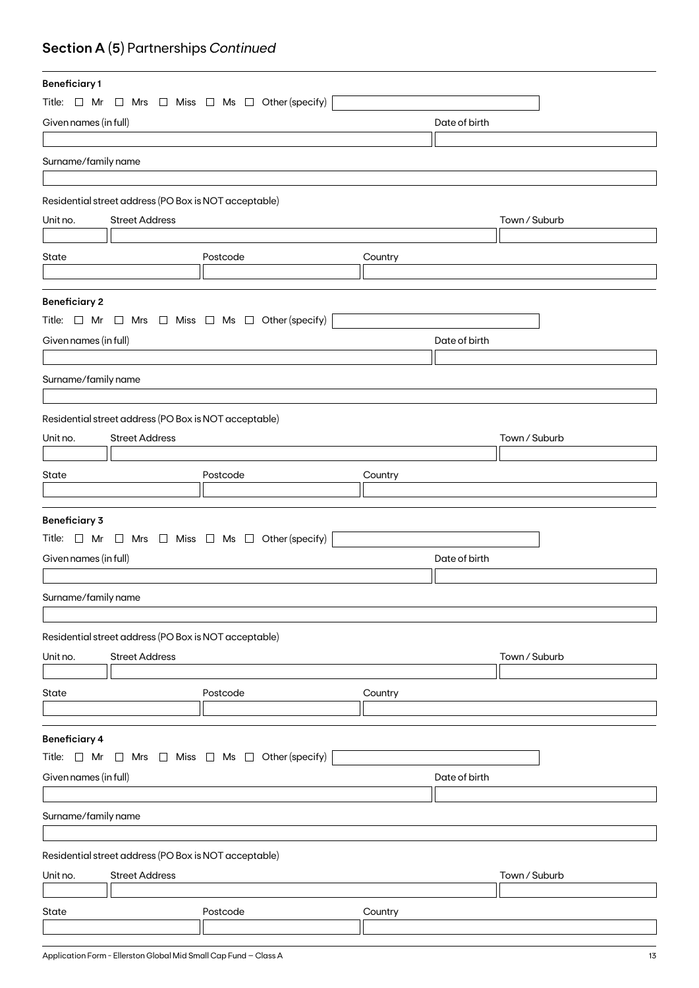## **Section A (5)** Partnerships *Continued*

| <b>Beneficiary1</b>                    |                                                       |                                                                          |         |               |               |
|----------------------------------------|-------------------------------------------------------|--------------------------------------------------------------------------|---------|---------------|---------------|
|                                        |                                                       | Title: $\Box$ Mr $\Box$ Mrs $\Box$ Miss $\Box$ Ms $\Box$ Other (specify) |         |               |               |
| Given names (in full)                  |                                                       |                                                                          |         | Date of birth |               |
|                                        |                                                       |                                                                          |         |               |               |
| Surname/family name                    |                                                       |                                                                          |         |               |               |
|                                        |                                                       |                                                                          |         |               |               |
|                                        | Residential street address (PO Box is NOT acceptable) |                                                                          |         |               |               |
| Unit no.                               | <b>Street Address</b>                                 |                                                                          |         |               | Town / Suburb |
|                                        |                                                       |                                                                          |         |               |               |
| State                                  |                                                       | Postcode                                                                 | Country |               |               |
|                                        |                                                       |                                                                          |         |               |               |
|                                        |                                                       |                                                                          |         |               |               |
| <b>Beneficiary 2</b>                   |                                                       |                                                                          |         |               |               |
|                                        |                                                       | Title: $\Box$ Mr $\Box$ Mrs $\Box$ Miss $\Box$ Ms $\Box$ Other (specify) |         |               |               |
| Given names (in full)                  |                                                       |                                                                          |         | Date of birth |               |
|                                        |                                                       |                                                                          |         |               |               |
| Surname/family name                    |                                                       |                                                                          |         |               |               |
|                                        |                                                       |                                                                          |         |               |               |
|                                        | Residential street address (PO Box is NOT acceptable) |                                                                          |         |               |               |
| Unit no.                               | <b>Street Address</b>                                 |                                                                          |         |               | Town / Suburb |
|                                        |                                                       |                                                                          |         |               |               |
| State                                  |                                                       | Postcode                                                                 | Country |               |               |
|                                        |                                                       |                                                                          |         |               |               |
|                                        |                                                       |                                                                          |         |               |               |
| <b>Beneficiary 3</b>                   |                                                       |                                                                          |         |               |               |
|                                        |                                                       | Title: $\Box$ Mr $\Box$ Mrs $\Box$ Miss $\Box$ Ms $\Box$ Other (specify) |         |               |               |
| Given names (in full)                  |                                                       |                                                                          |         | Date of birth |               |
|                                        |                                                       |                                                                          |         |               |               |
| Surname/family name                    |                                                       |                                                                          |         |               |               |
|                                        |                                                       |                                                                          |         |               |               |
|                                        | Residential street address (PO Box is NOT acceptable) |                                                                          |         |               |               |
| Unit no.                               | <b>Street Address</b>                                 |                                                                          |         |               | Town / Suburb |
|                                        |                                                       |                                                                          |         |               |               |
| State                                  |                                                       | Postcode                                                                 | Country |               |               |
|                                        |                                                       |                                                                          |         |               |               |
|                                        |                                                       |                                                                          |         |               |               |
| <b>Beneficiary 4</b>                   |                                                       |                                                                          |         |               |               |
| Title: $\Box$ Mr                       | $\Box$                                                | Mrs $\Box$ Miss $\Box$ Ms $\Box$ Other (specify)                         |         |               |               |
| Given names (in full)<br>Date of birth |                                                       |                                                                          |         |               |               |
|                                        |                                                       |                                                                          |         |               |               |
| Surname/family name                    |                                                       |                                                                          |         |               |               |
|                                        |                                                       |                                                                          |         |               |               |
|                                        | Residential street address (PO Box is NOT acceptable) |                                                                          |         |               |               |
| Unit no.                               | <b>Street Address</b>                                 |                                                                          |         |               | Town / Suburb |
|                                        |                                                       |                                                                          |         |               |               |
| State                                  |                                                       | Postcode                                                                 | Country |               |               |
|                                        |                                                       |                                                                          |         |               |               |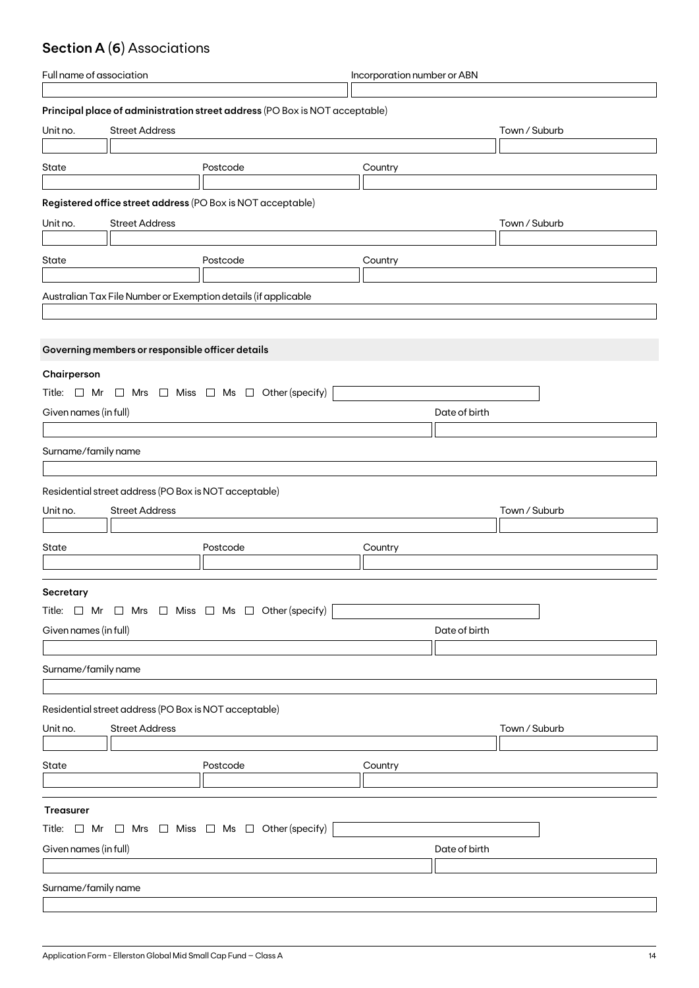## **Section A (6)** Associations

| Full name of association |                                                       | Incorporation number or ABN                                                 |               |               |
|--------------------------|-------------------------------------------------------|-----------------------------------------------------------------------------|---------------|---------------|
|                          |                                                       |                                                                             |               |               |
|                          |                                                       | Principal place of administration street address (PO Box is NOT acceptable) |               |               |
| Unit no.                 | <b>Street Address</b>                                 |                                                                             |               | Town / Suburb |
|                          |                                                       |                                                                             |               |               |
| State                    |                                                       | Postcode                                                                    | Country       |               |
|                          |                                                       |                                                                             |               |               |
|                          |                                                       | Registered office street address (PO Box is NOT acceptable)                 |               |               |
| Unit no.                 | <b>Street Address</b>                                 |                                                                             |               | Town / Suburb |
|                          |                                                       |                                                                             |               |               |
| State                    |                                                       | Postcode                                                                    |               |               |
|                          |                                                       |                                                                             | Country       |               |
|                          |                                                       |                                                                             |               |               |
|                          |                                                       | Australian Tax File Number or Exemption details (if applicable              |               |               |
|                          |                                                       |                                                                             |               |               |
|                          |                                                       |                                                                             |               |               |
|                          | Governing members or responsible officer details      |                                                                             |               |               |
| Chairperson              |                                                       |                                                                             |               |               |
|                          |                                                       | Title: $\Box$ Mr $\Box$ Mrs $\Box$ Miss $\Box$ Ms $\Box$ Other (specify)    |               |               |
| Given names (in full)    |                                                       |                                                                             | Date of birth |               |
|                          |                                                       |                                                                             |               |               |
| Surname/family name      |                                                       |                                                                             |               |               |
|                          |                                                       |                                                                             |               |               |
|                          |                                                       |                                                                             |               |               |
|                          | Residential street address (PO Box is NOT acceptable) |                                                                             |               |               |
| Unit no.                 | <b>Street Address</b>                                 |                                                                             |               | Town / Suburb |
|                          |                                                       |                                                                             |               |               |
| State                    |                                                       | Postcode                                                                    | Country       |               |
|                          |                                                       |                                                                             |               |               |
| Secretary                |                                                       |                                                                             |               |               |
|                          |                                                       | Title: $\Box$ Mr $\Box$ Mrs $\Box$ Miss $\Box$ Ms $\Box$ Other (specify)    |               |               |
| Given names (in full)    |                                                       |                                                                             | Date of birth |               |
|                          |                                                       |                                                                             |               |               |
|                          |                                                       |                                                                             |               |               |
| Surname/family name      |                                                       |                                                                             |               |               |
|                          |                                                       |                                                                             |               |               |
|                          | Residential street address (PO Box is NOT acceptable) |                                                                             |               |               |
| Unit no.                 | <b>Street Address</b>                                 |                                                                             |               | Town / Suburb |
|                          |                                                       |                                                                             |               |               |
| State                    |                                                       | Postcode                                                                    | Country       |               |
|                          |                                                       |                                                                             |               |               |
|                          |                                                       |                                                                             |               |               |
| Treasurer                |                                                       |                                                                             |               |               |
|                          |                                                       | Title: $\Box$ Mr $\Box$ Mrs $\Box$ Miss $\Box$ Ms $\Box$ Other (specify)    |               |               |
| Given names (in full)    |                                                       |                                                                             | Date of birth |               |
|                          |                                                       |                                                                             |               |               |
| Surname/family name      |                                                       |                                                                             |               |               |
|                          |                                                       |                                                                             |               |               |
|                          |                                                       |                                                                             |               |               |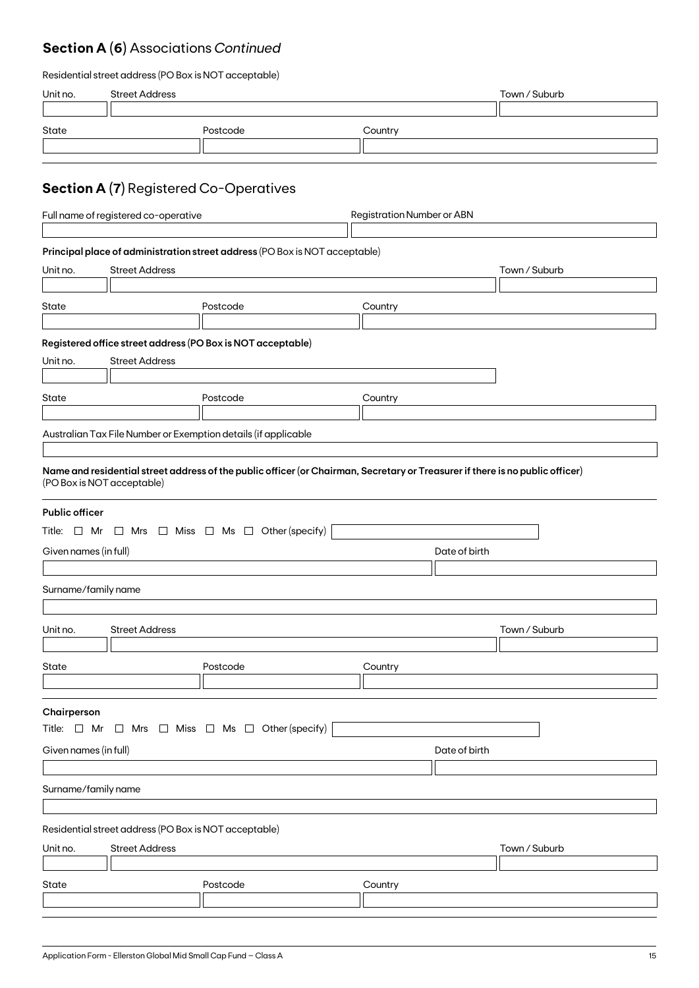## **Section A (6)** Associations *Continued*

| Residential street address (PO Box is NOT acceptable) |  |  |
|-------------------------------------------------------|--|--|
|-------------------------------------------------------|--|--|

| Unit no.                                                                                            | <b>Street Address</b>                                                          |                                                                                                                                                                                                           |                                   | Town / Suburb |
|-----------------------------------------------------------------------------------------------------|--------------------------------------------------------------------------------|-----------------------------------------------------------------------------------------------------------------------------------------------------------------------------------------------------------|-----------------------------------|---------------|
| State                                                                                               |                                                                                | Postcode                                                                                                                                                                                                  | Country                           |               |
|                                                                                                     |                                                                                | <b>Section A (7)</b> Registered Co-Operatives                                                                                                                                                             |                                   |               |
|                                                                                                     | Full name of registered co-operative                                           |                                                                                                                                                                                                           | <b>Registration Number or ABN</b> |               |
| Unit no.                                                                                            | <b>Street Address</b>                                                          | Principal place of administration street address (PO Box is NOT acceptable)                                                                                                                               |                                   | Town / Suburb |
| State                                                                                               |                                                                                | Postcode                                                                                                                                                                                                  | Country                           |               |
| Unit no.<br>State                                                                                   | <b>Street Address</b>                                                          | Registered office street address (PO Box is NOT acceptable)<br>Postcode                                                                                                                                   | Country                           |               |
|                                                                                                     |                                                                                | Australian Tax File Number or Exemption details (if applicable                                                                                                                                            |                                   |               |
| (PO Box is NOT acceptable)<br><b>Public officer</b><br>Given names (in full)<br>Surname/family name |                                                                                | Name and residential street address of the public officer (or Chairman, Secretary or Treasurer if there is no public officer)<br>Title: $\Box$ Mr $\Box$ Mrs $\Box$ Miss $\Box$ Ms $\Box$ Other (specify) | Date of birth                     |               |
| Unit no.                                                                                            | <b>Street Address</b>                                                          |                                                                                                                                                                                                           |                                   | Town / Suburb |
| State                                                                                               |                                                                                | Postcode                                                                                                                                                                                                  | Country                           |               |
| Chairperson<br>Given names (in full)                                                                |                                                                                | Title: $\Box$ Mr $\Box$ Mrs $\Box$ Miss $\Box$ Ms $\Box$ Other (specify)                                                                                                                                  | Date of birth                     |               |
| Surname/family name                                                                                 |                                                                                |                                                                                                                                                                                                           |                                   |               |
| Unit no.                                                                                            | Residential street address (PO Box is NOT acceptable)<br><b>Street Address</b> |                                                                                                                                                                                                           |                                   | Town / Suburb |
| State                                                                                               |                                                                                | Postcode                                                                                                                                                                                                  | Country                           |               |
|                                                                                                     |                                                                                |                                                                                                                                                                                                           |                                   |               |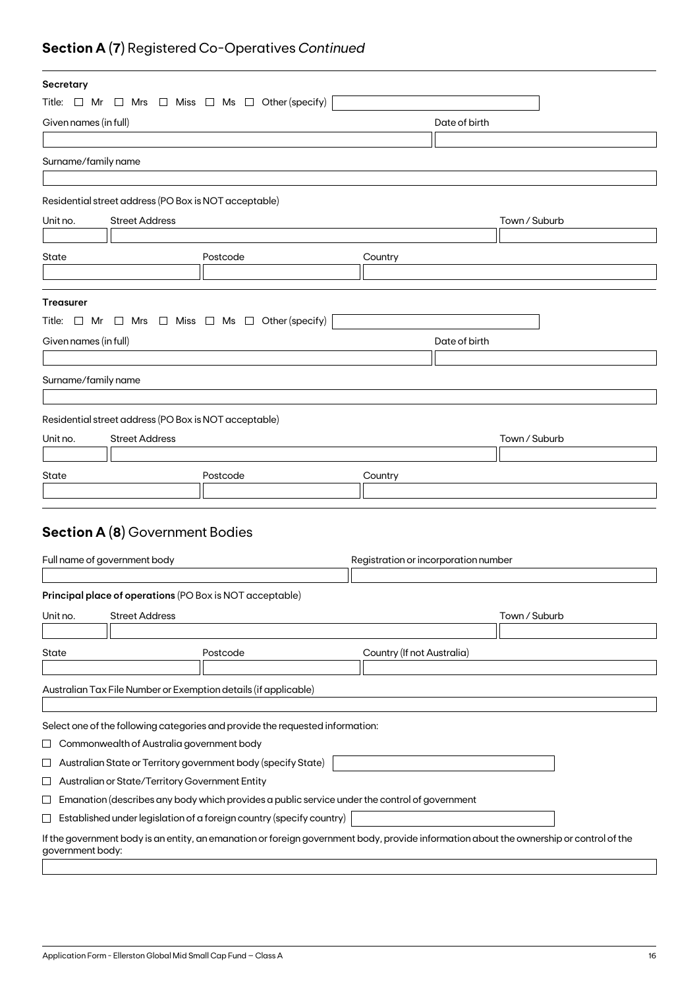## **Section A (7)** Registered Co-Operatives *Continued*

| Secretary             |                                                       |                                                                                                                                         |                                      |               |  |
|-----------------------|-------------------------------------------------------|-----------------------------------------------------------------------------------------------------------------------------------------|--------------------------------------|---------------|--|
|                       |                                                       | Title: $\Box$ Mr $\Box$ Mrs $\Box$ Miss $\Box$ Ms $\Box$ Other (specify)                                                                |                                      |               |  |
| Given names (in full) |                                                       |                                                                                                                                         | Date of birth                        |               |  |
|                       |                                                       |                                                                                                                                         |                                      |               |  |
| Surname/family name   |                                                       |                                                                                                                                         |                                      |               |  |
|                       |                                                       |                                                                                                                                         |                                      |               |  |
|                       | Residential street address (PO Box is NOT acceptable) |                                                                                                                                         |                                      |               |  |
| Unit no.              | <b>Street Address</b>                                 |                                                                                                                                         |                                      | Town / Suburb |  |
|                       |                                                       |                                                                                                                                         |                                      |               |  |
| State                 |                                                       | Postcode                                                                                                                                | Country                              |               |  |
|                       |                                                       |                                                                                                                                         |                                      |               |  |
|                       |                                                       |                                                                                                                                         |                                      |               |  |
| <b>Treasurer</b>      |                                                       |                                                                                                                                         |                                      |               |  |
|                       |                                                       | Title: $\Box$ Mr $\Box$ Mrs $\Box$ Miss $\Box$ Ms $\Box$ Other (specify)                                                                |                                      |               |  |
| Given names (in full) |                                                       |                                                                                                                                         | Date of birth                        |               |  |
|                       |                                                       |                                                                                                                                         |                                      |               |  |
| Surname/family name   |                                                       |                                                                                                                                         |                                      |               |  |
|                       |                                                       |                                                                                                                                         |                                      |               |  |
|                       | Residential street address (PO Box is NOT acceptable) |                                                                                                                                         |                                      |               |  |
| Unit no.              | <b>Street Address</b>                                 |                                                                                                                                         |                                      | Town / Suburb |  |
|                       |                                                       |                                                                                                                                         |                                      |               |  |
| State                 |                                                       | Postcode                                                                                                                                | Country                              |               |  |
|                       |                                                       |                                                                                                                                         |                                      |               |  |
|                       |                                                       |                                                                                                                                         |                                      |               |  |
|                       | <b>Section A (8)</b> Government Bodies                |                                                                                                                                         |                                      |               |  |
|                       |                                                       |                                                                                                                                         |                                      |               |  |
|                       | Full name of government body                          |                                                                                                                                         | Registration or incorporation number |               |  |
|                       |                                                       |                                                                                                                                         |                                      |               |  |
|                       |                                                       | Principal place of operations (PO Box is NOT acceptable)                                                                                |                                      |               |  |
| Unit no.              | <b>Street Address</b>                                 |                                                                                                                                         |                                      | Town / Suburb |  |
|                       |                                                       |                                                                                                                                         |                                      |               |  |
| State                 |                                                       | Postcode                                                                                                                                | Country (If not Australia)           |               |  |
|                       |                                                       |                                                                                                                                         |                                      |               |  |
|                       |                                                       | Australian Tax File Number or Exemption details (if applicable)                                                                         |                                      |               |  |
|                       |                                                       |                                                                                                                                         |                                      |               |  |
|                       |                                                       | Select one of the following categories and provide the requested information:                                                           |                                      |               |  |
| ப                     | Commonwealth of Australia government body             |                                                                                                                                         |                                      |               |  |
| ப                     |                                                       | Australian State or Territory government body (specify State)                                                                           |                                      |               |  |
| ப                     | Australian or State/Territory Government Entity       |                                                                                                                                         |                                      |               |  |
| $\sqcup$              |                                                       | Emanation (describes any body which provides a public service under the control of government                                           |                                      |               |  |
| $\sqcup$              |                                                       | Established under legislation of a foreign country (specify country)                                                                    |                                      |               |  |
| government body:      |                                                       | If the government body is an entity, an emanation or foreign government body, provide information about the ownership or control of the |                                      |               |  |
|                       |                                                       |                                                                                                                                         |                                      |               |  |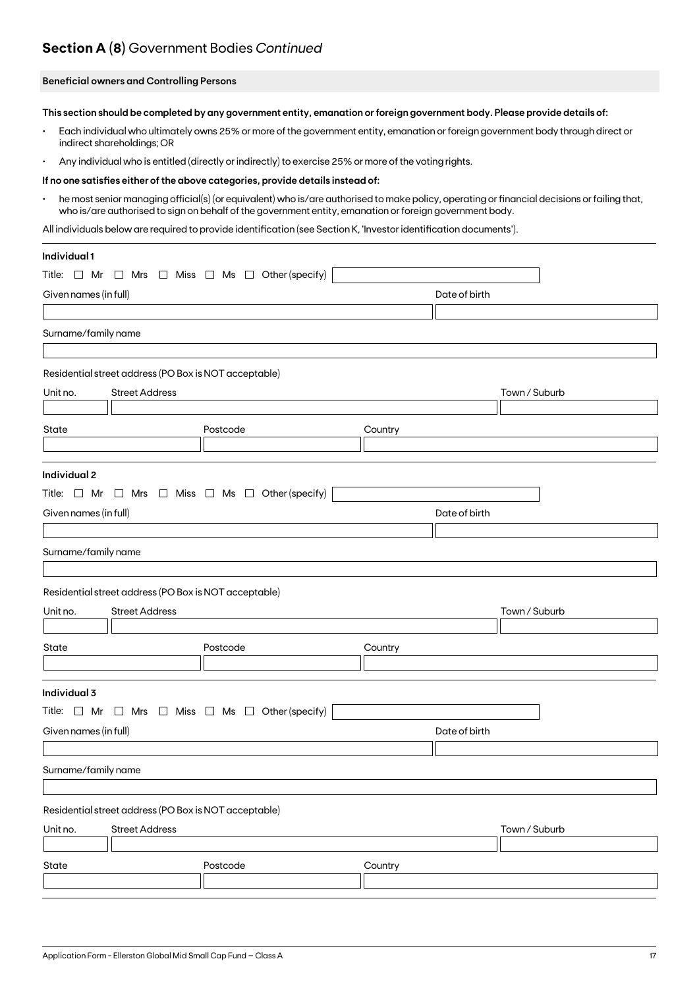### **Section A (8)** Government Bodies *Continued*

### **Beneficial owners and Controlling Persons**

**This section should be completed by any government entity, emanation or foreign government body. Please provide details of:**

- Each individual who ultimately owns 25% or more of the government entity, emanation or foreign government body through direct or indirect shareholdings; OR
- Any individual who is entitled (directly or indirectly) to exercise 25% or more of the voting rights.

#### **If no one satisfies either of the above categories, provide details instead of:**

• he most senior managing official(s) (or equivalent) who is/are authorised to make policy, operating or financial decisions or failing that, who is/are authorised to sign on behalf of the government entity, emanation or foreign government body.

All individuals below are required to provide identification (see Section K, 'Investor identification documents').

| Individual 1          |                                                       |                                                                          |         |               |               |
|-----------------------|-------------------------------------------------------|--------------------------------------------------------------------------|---------|---------------|---------------|
|                       |                                                       | Title: $\Box$ Mr $\Box$ Mrs $\Box$ Miss $\Box$ Ms $\Box$ Other (specify) |         |               |               |
| Given names (in full) |                                                       |                                                                          |         | Date of birth |               |
|                       |                                                       |                                                                          |         |               |               |
| Surname/family name   |                                                       |                                                                          |         |               |               |
|                       |                                                       |                                                                          |         |               |               |
|                       | Residential street address (PO Box is NOT acceptable) |                                                                          |         |               |               |
| Unit no.              | <b>Street Address</b>                                 |                                                                          |         |               | Town / Suburb |
|                       |                                                       |                                                                          |         |               |               |
| State                 |                                                       | Postcode                                                                 | Country |               |               |
|                       |                                                       |                                                                          |         |               |               |
| Individual 2          |                                                       |                                                                          |         |               |               |
|                       |                                                       | Title: $\Box$ Mr $\Box$ Mrs $\Box$ Miss $\Box$ Ms $\Box$ Other (specify) |         |               |               |
| Given names (in full) |                                                       |                                                                          |         | Date of birth |               |
|                       |                                                       |                                                                          |         |               |               |
| Surname/family name   |                                                       |                                                                          |         |               |               |
|                       |                                                       |                                                                          |         |               |               |
|                       | Residential street address (PO Box is NOT acceptable) |                                                                          |         |               |               |
| Unit no.              | <b>Street Address</b>                                 |                                                                          |         |               | Town / Suburb |
|                       |                                                       |                                                                          |         |               |               |
| State                 |                                                       | Postcode                                                                 | Country |               |               |
|                       |                                                       |                                                                          |         |               |               |
| Individual 3          |                                                       |                                                                          |         |               |               |
|                       |                                                       | Title: $\Box$ Mr $\Box$ Mrs $\Box$ Miss $\Box$ Ms $\Box$ Other (specify) |         |               |               |
| Given names (in full) |                                                       |                                                                          |         | Date of birth |               |
|                       |                                                       |                                                                          |         |               |               |
| Surname/family name   |                                                       |                                                                          |         |               |               |
|                       |                                                       |                                                                          |         |               |               |
|                       | Residential street address (PO Box is NOT acceptable) |                                                                          |         |               |               |
| Unit no.              | <b>Street Address</b>                                 |                                                                          |         |               | Town / Suburb |
|                       |                                                       |                                                                          |         |               |               |
| State                 |                                                       | Postcode                                                                 | Country |               |               |
|                       |                                                       |                                                                          |         |               |               |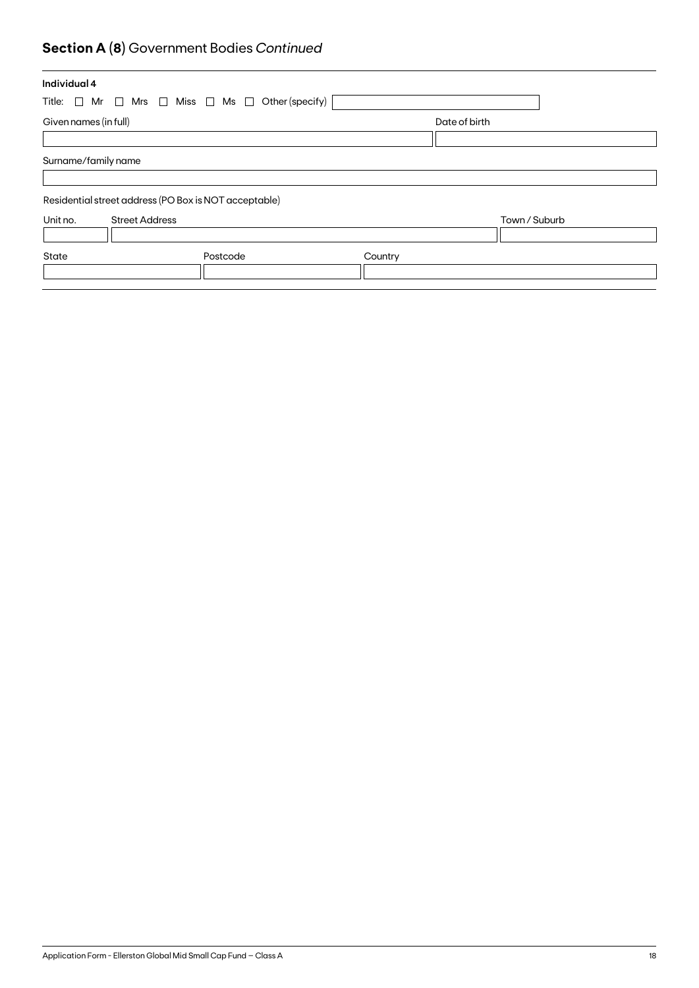## **Section A (8)** Government Bodies *Continued*

| Individual 4                                                             |          |         |               |  |
|--------------------------------------------------------------------------|----------|---------|---------------|--|
| Title: $\Box$ Mr $\Box$ Mrs $\Box$ Miss $\Box$ Ms $\Box$ Other (specify) |          |         |               |  |
| Given names (in full)                                                    |          |         | Date of birth |  |
|                                                                          |          |         |               |  |
| Surname/family name                                                      |          |         |               |  |
|                                                                          |          |         |               |  |
| Residential street address (PO Box is NOT acceptable)                    |          |         |               |  |
| Unit no.<br><b>Street Address</b>                                        |          |         | Town / Suburb |  |
|                                                                          |          |         |               |  |
| State                                                                    | Postcode | Country |               |  |
|                                                                          |          |         |               |  |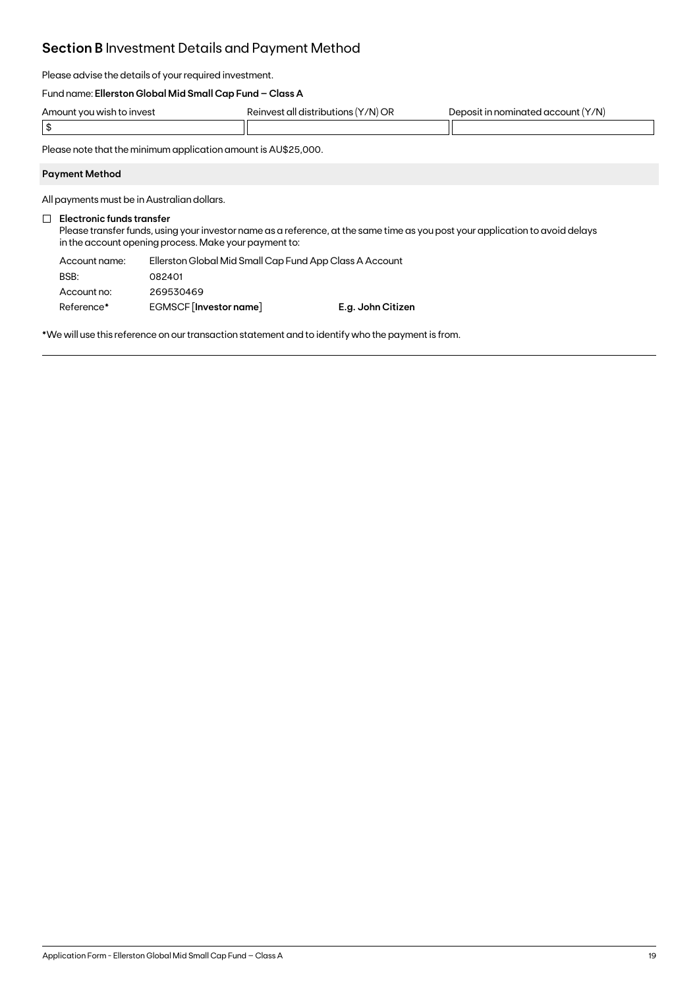### **Section B** Investment Details and Payment Method

Please advise the details of your required investment.

### Fund name: **Ellerston Global Mid Small Cap Fund – Class A**

| Amount<br><b>JUNE 1999</b><br>n to invest | '/N) OR<br>`all distribi.<br>√AINVA<br>ne<br>ш | Y/N)<br>$  -$<br>$\lambda$<br>accoun<br>unater<br>- 11 |
|-------------------------------------------|------------------------------------------------|--------------------------------------------------------|
|                                           |                                                |                                                        |

Please note that the minimum application amount is AU\$25,000.

### **Payment Method**

All payments must be in Australian dollars.

### **Electronic funds transfer**

Please transfer funds, using your investor name as a reference, at the same time as you post your application to avoid delays in the account opening process. Make your payment to:

| Account name: | Ellerston Global Mid Small Cap Fund App Class A Account |                   |  |
|---------------|---------------------------------------------------------|-------------------|--|
| BSB:          | 082401                                                  |                   |  |
| Account no:   | 269530469                                               |                   |  |
| Reference*    | EGMSCF [Investor name]                                  | E.g. John Citizen |  |

\*We will use this reference on our transaction statement and to identify who the payment is from.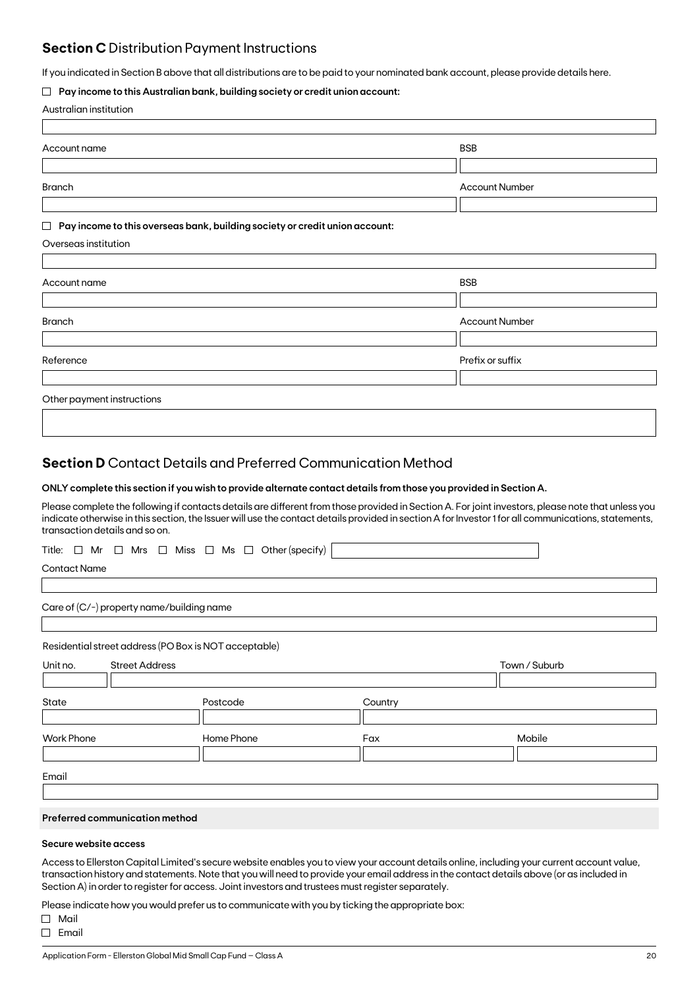### **Section C** Distribution Payment Instructions

If you indicated in Section B above that all distributions are to be paid to your nominated bank account, please provide details here.

### **Pay income to this Australian bank, building society or credit union account:**

|  | Australian institution |
|--|------------------------|
|--|------------------------|

| Account name                                                                          | <b>BSB</b>            |
|---------------------------------------------------------------------------------------|-----------------------|
|                                                                                       |                       |
| <b>Branch</b>                                                                         | <b>Account Number</b> |
|                                                                                       |                       |
| Pay income to this overseas bank, building society or credit union account:<br>$\Box$ |                       |
| Overseas institution                                                                  |                       |
|                                                                                       |                       |
| Account name                                                                          | <b>BSB</b>            |
|                                                                                       |                       |
| <b>Branch</b>                                                                         | <b>Account Number</b> |
|                                                                                       |                       |
| Reference                                                                             | Prefix or suffix      |
|                                                                                       |                       |
| Other payment instructions                                                            |                       |
|                                                                                       |                       |

### **Section D** Contact Details and Preferred Communication Method

### **ONLY complete this section if you wish to provide alternate contact details from those you provided in Section A.**

Please complete the following if contacts details are different from those provided in Section A. For joint investors, please note that unless you indicate otherwise in this section, the Issuer will use the contact details provided in section A for Investor 1 for all communications, statements, transaction details and so on.

Title:  $\Box$  Mr  $\Box$  Mrs  $\Box$  Miss  $\Box$  Ms  $\Box$  Other (specify)

Contact Name

Care of (C/-) property name/building name

Residential street address (PO Box is NOT acceptable)

| Unit no.          | <b>Street Address</b> |            |         | Town / Suburb |
|-------------------|-----------------------|------------|---------|---------------|
|                   |                       |            |         |               |
| State             |                       | Postcode   | Country |               |
|                   |                       |            |         |               |
| <b>Work Phone</b> |                       | Home Phone | Fax     | Mobile        |
|                   |                       |            |         |               |
|                   |                       |            |         |               |
| Email             |                       |            |         |               |

### **Preferred communication method**

### **Secure website access**

Access to Ellerston Capital Limited's secure website enables you to view your account details online, including your current account value, transaction history and statements. Note that you will need to provide your email address in the contact details above (or as included in Section A) in order to register for access. Joint investors and trustees must register separately.

Please indicate how you would prefer us to communicate with you by ticking the appropriate box:

Mail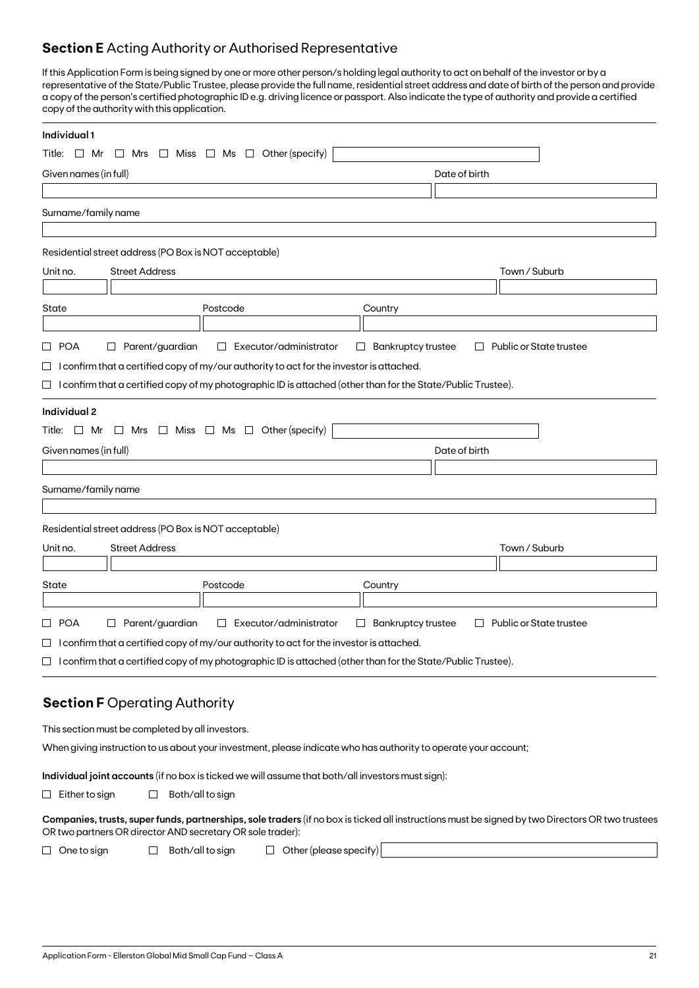### **Section E** Acting Authority or Authorised Representative

If this Application Form is being signed by one or more other person/s holding legal authority to act on behalf of the investor or by a representative of the State/Public Trustee, please provide the full name, residential street address and date of birth of the person and provide a copy of the person's certified photographic ID e.g. driving licence or passport. Also indicate the type of authority and provide a certified copy of the authority with this application.

| Other (specify)<br>$\Box$ Miss $\Box$ Ms $\Box$<br>$\Box$ Mrs<br>$\Box$ Mr<br>Date of birth<br><b>Street Address</b><br>Town / Suburb<br>Postcode<br>Country<br>Parent/guardian<br>Executor/administrator<br><b>Bankruptcy trustee</b><br>Public or State trustee<br>$\Box$<br>ப<br>$\Box$<br>$\Box$<br>$\Box$ I confirm that a certified copy of my/our authority to act for the investor is attached.<br>$\Box$ I confirm that a certified copy of my photographic ID is attached (other than for the State/Public Trustee).<br>Title: $\Box$ Mr $\Box$ Mrs $\Box$ Miss $\Box$ Ms $\Box$ Other (specify)<br>Date of birth<br><b>Street Address</b><br>Town / Suburb<br>Postcode<br>Country<br>$\Box$ Parent/guardian<br>Executor/administrator<br><b>Bankruptcy trustee</b><br>Public or State trustee<br>$\Box$<br>$\Box$<br>$\Box$<br>$\Box$ I confirm that a certified copy of my/our authority to act for the investor is attached.<br>$\Box$ I confirm that a certified copy of my photographic ID is attached (other than for the State/Public Trustee).<br><b>Section F Operating Authority</b><br>This section must be completed by all investors.<br>When giving instruction to us about your investment, please indicate who has authority to operate your account;<br>Individual joint accounts (if no box is ticked we will assume that both/all investors must sign):<br>Both/all to sign<br>ப | Individual 1                                               |  |
|---------------------------------------------------------------------------------------------------------------------------------------------------------------------------------------------------------------------------------------------------------------------------------------------------------------------------------------------------------------------------------------------------------------------------------------------------------------------------------------------------------------------------------------------------------------------------------------------------------------------------------------------------------------------------------------------------------------------------------------------------------------------------------------------------------------------------------------------------------------------------------------------------------------------------------------------------------------------------------------------------------------------------------------------------------------------------------------------------------------------------------------------------------------------------------------------------------------------------------------------------------------------------------------------------------------------------------------------------------------------------------------------------------------|------------------------------------------------------------|--|
| Companies, trusts, super funds, partnerships, sole traders (if no box is ticked all instructions must be signed by two Directors OR two trustees                                                                                                                                                                                                                                                                                                                                                                                                                                                                                                                                                                                                                                                                                                                                                                                                                                                                                                                                                                                                                                                                                                                                                                                                                                                              | Title:                                                     |  |
|                                                                                                                                                                                                                                                                                                                                                                                                                                                                                                                                                                                                                                                                                                                                                                                                                                                                                                                                                                                                                                                                                                                                                                                                                                                                                                                                                                                                               | Given names (in full)                                      |  |
|                                                                                                                                                                                                                                                                                                                                                                                                                                                                                                                                                                                                                                                                                                                                                                                                                                                                                                                                                                                                                                                                                                                                                                                                                                                                                                                                                                                                               |                                                            |  |
|                                                                                                                                                                                                                                                                                                                                                                                                                                                                                                                                                                                                                                                                                                                                                                                                                                                                                                                                                                                                                                                                                                                                                                                                                                                                                                                                                                                                               | Surname/family name                                        |  |
|                                                                                                                                                                                                                                                                                                                                                                                                                                                                                                                                                                                                                                                                                                                                                                                                                                                                                                                                                                                                                                                                                                                                                                                                                                                                                                                                                                                                               |                                                            |  |
|                                                                                                                                                                                                                                                                                                                                                                                                                                                                                                                                                                                                                                                                                                                                                                                                                                                                                                                                                                                                                                                                                                                                                                                                                                                                                                                                                                                                               | Residential street address (PO Box is NOT acceptable)      |  |
|                                                                                                                                                                                                                                                                                                                                                                                                                                                                                                                                                                                                                                                                                                                                                                                                                                                                                                                                                                                                                                                                                                                                                                                                                                                                                                                                                                                                               | Unit no.                                                   |  |
|                                                                                                                                                                                                                                                                                                                                                                                                                                                                                                                                                                                                                                                                                                                                                                                                                                                                                                                                                                                                                                                                                                                                                                                                                                                                                                                                                                                                               |                                                            |  |
|                                                                                                                                                                                                                                                                                                                                                                                                                                                                                                                                                                                                                                                                                                                                                                                                                                                                                                                                                                                                                                                                                                                                                                                                                                                                                                                                                                                                               | State                                                      |  |
|                                                                                                                                                                                                                                                                                                                                                                                                                                                                                                                                                                                                                                                                                                                                                                                                                                                                                                                                                                                                                                                                                                                                                                                                                                                                                                                                                                                                               |                                                            |  |
|                                                                                                                                                                                                                                                                                                                                                                                                                                                                                                                                                                                                                                                                                                                                                                                                                                                                                                                                                                                                                                                                                                                                                                                                                                                                                                                                                                                                               | □ POA                                                      |  |
|                                                                                                                                                                                                                                                                                                                                                                                                                                                                                                                                                                                                                                                                                                                                                                                                                                                                                                                                                                                                                                                                                                                                                                                                                                                                                                                                                                                                               |                                                            |  |
|                                                                                                                                                                                                                                                                                                                                                                                                                                                                                                                                                                                                                                                                                                                                                                                                                                                                                                                                                                                                                                                                                                                                                                                                                                                                                                                                                                                                               |                                                            |  |
|                                                                                                                                                                                                                                                                                                                                                                                                                                                                                                                                                                                                                                                                                                                                                                                                                                                                                                                                                                                                                                                                                                                                                                                                                                                                                                                                                                                                               | <b>Individual 2</b>                                        |  |
|                                                                                                                                                                                                                                                                                                                                                                                                                                                                                                                                                                                                                                                                                                                                                                                                                                                                                                                                                                                                                                                                                                                                                                                                                                                                                                                                                                                                               |                                                            |  |
|                                                                                                                                                                                                                                                                                                                                                                                                                                                                                                                                                                                                                                                                                                                                                                                                                                                                                                                                                                                                                                                                                                                                                                                                                                                                                                                                                                                                               | Given names (in full)                                      |  |
|                                                                                                                                                                                                                                                                                                                                                                                                                                                                                                                                                                                                                                                                                                                                                                                                                                                                                                                                                                                                                                                                                                                                                                                                                                                                                                                                                                                                               |                                                            |  |
|                                                                                                                                                                                                                                                                                                                                                                                                                                                                                                                                                                                                                                                                                                                                                                                                                                                                                                                                                                                                                                                                                                                                                                                                                                                                                                                                                                                                               | Surname/family name                                        |  |
|                                                                                                                                                                                                                                                                                                                                                                                                                                                                                                                                                                                                                                                                                                                                                                                                                                                                                                                                                                                                                                                                                                                                                                                                                                                                                                                                                                                                               |                                                            |  |
|                                                                                                                                                                                                                                                                                                                                                                                                                                                                                                                                                                                                                                                                                                                                                                                                                                                                                                                                                                                                                                                                                                                                                                                                                                                                                                                                                                                                               | Residential street address (PO Box is NOT acceptable)      |  |
|                                                                                                                                                                                                                                                                                                                                                                                                                                                                                                                                                                                                                                                                                                                                                                                                                                                                                                                                                                                                                                                                                                                                                                                                                                                                                                                                                                                                               | Unit no.                                                   |  |
|                                                                                                                                                                                                                                                                                                                                                                                                                                                                                                                                                                                                                                                                                                                                                                                                                                                                                                                                                                                                                                                                                                                                                                                                                                                                                                                                                                                                               |                                                            |  |
|                                                                                                                                                                                                                                                                                                                                                                                                                                                                                                                                                                                                                                                                                                                                                                                                                                                                                                                                                                                                                                                                                                                                                                                                                                                                                                                                                                                                               | State                                                      |  |
|                                                                                                                                                                                                                                                                                                                                                                                                                                                                                                                                                                                                                                                                                                                                                                                                                                                                                                                                                                                                                                                                                                                                                                                                                                                                                                                                                                                                               |                                                            |  |
|                                                                                                                                                                                                                                                                                                                                                                                                                                                                                                                                                                                                                                                                                                                                                                                                                                                                                                                                                                                                                                                                                                                                                                                                                                                                                                                                                                                                               | □ POA                                                      |  |
|                                                                                                                                                                                                                                                                                                                                                                                                                                                                                                                                                                                                                                                                                                                                                                                                                                                                                                                                                                                                                                                                                                                                                                                                                                                                                                                                                                                                               |                                                            |  |
|                                                                                                                                                                                                                                                                                                                                                                                                                                                                                                                                                                                                                                                                                                                                                                                                                                                                                                                                                                                                                                                                                                                                                                                                                                                                                                                                                                                                               |                                                            |  |
|                                                                                                                                                                                                                                                                                                                                                                                                                                                                                                                                                                                                                                                                                                                                                                                                                                                                                                                                                                                                                                                                                                                                                                                                                                                                                                                                                                                                               |                                                            |  |
|                                                                                                                                                                                                                                                                                                                                                                                                                                                                                                                                                                                                                                                                                                                                                                                                                                                                                                                                                                                                                                                                                                                                                                                                                                                                                                                                                                                                               |                                                            |  |
|                                                                                                                                                                                                                                                                                                                                                                                                                                                                                                                                                                                                                                                                                                                                                                                                                                                                                                                                                                                                                                                                                                                                                                                                                                                                                                                                                                                                               |                                                            |  |
|                                                                                                                                                                                                                                                                                                                                                                                                                                                                                                                                                                                                                                                                                                                                                                                                                                                                                                                                                                                                                                                                                                                                                                                                                                                                                                                                                                                                               |                                                            |  |
|                                                                                                                                                                                                                                                                                                                                                                                                                                                                                                                                                                                                                                                                                                                                                                                                                                                                                                                                                                                                                                                                                                                                                                                                                                                                                                                                                                                                               |                                                            |  |
|                                                                                                                                                                                                                                                                                                                                                                                                                                                                                                                                                                                                                                                                                                                                                                                                                                                                                                                                                                                                                                                                                                                                                                                                                                                                                                                                                                                                               |                                                            |  |
|                                                                                                                                                                                                                                                                                                                                                                                                                                                                                                                                                                                                                                                                                                                                                                                                                                                                                                                                                                                                                                                                                                                                                                                                                                                                                                                                                                                                               | $\Box$ Either to sign                                      |  |
|                                                                                                                                                                                                                                                                                                                                                                                                                                                                                                                                                                                                                                                                                                                                                                                                                                                                                                                                                                                                                                                                                                                                                                                                                                                                                                                                                                                                               | OR two partners OR director AND secretary OR sole trader): |  |
| $\Box$ Other (please specify)<br>Both/all to sign<br>One to sign<br>$\Box$                                                                                                                                                                                                                                                                                                                                                                                                                                                                                                                                                                                                                                                                                                                                                                                                                                                                                                                                                                                                                                                                                                                                                                                                                                                                                                                                    | $\Box$                                                     |  |
|                                                                                                                                                                                                                                                                                                                                                                                                                                                                                                                                                                                                                                                                                                                                                                                                                                                                                                                                                                                                                                                                                                                                                                                                                                                                                                                                                                                                               |                                                            |  |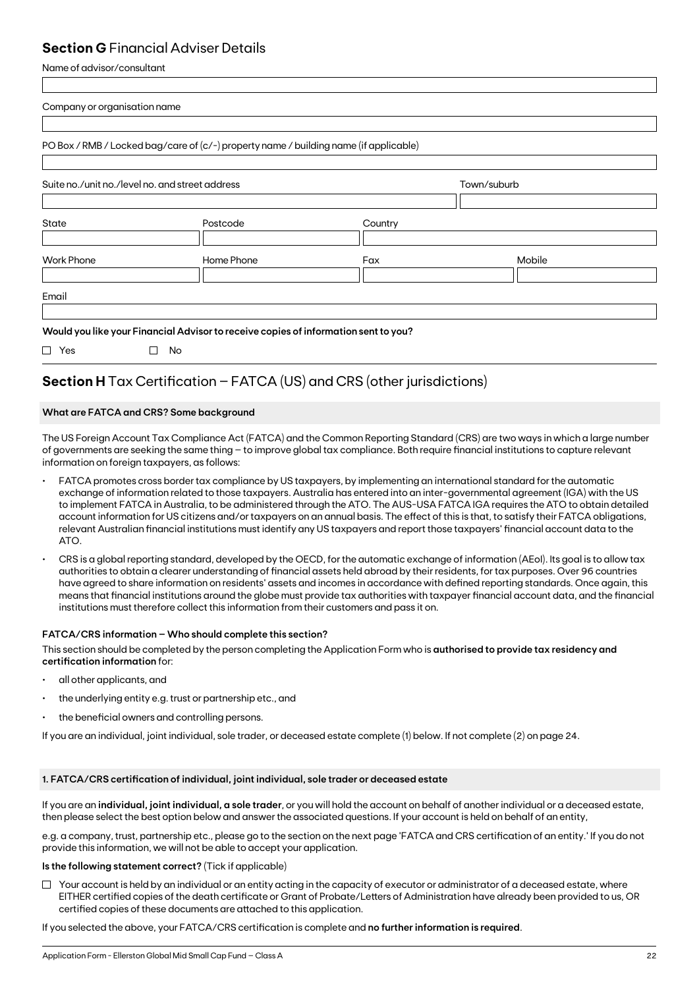### **Section G** Financial Adviser Details

Name of advisor/consultant

| Company or organisation name                    |                                                                                       |         |             |  |
|-------------------------------------------------|---------------------------------------------------------------------------------------|---------|-------------|--|
|                                                 | PO Box / RMB / Locked bag/care of (c/-) property name / building name (if applicable) |         |             |  |
| Suite no./unit no./level no. and street address |                                                                                       |         | Town/suburb |  |
| State                                           | Postcode                                                                              | Country |             |  |
| <b>Work Phone</b>                               | Home Phone                                                                            | Fax     | Mobile      |  |
| Email                                           |                                                                                       |         |             |  |
|                                                 | Would you like your Financial Advisor to receive copies of information sent to you?   |         |             |  |
| $\Box$ Yes                                      | $\Box$<br>No                                                                          |         |             |  |

## **Section H** Tax Certification – FATCA (US) and CRS (other jurisdictions)

### **What are FATCA and CRS? Some background**

The US Foreign Account Tax Compliance Act (FATCA) and the Common Reporting Standard (CRS) are two ways in which a large number of governments are seeking the same thing – to improve global tax compliance. Both require financial institutions to capture relevant information on foreign taxpayers, as follows:

- FATCA promotes cross border tax compliance by US taxpayers, by implementing an international standard for the automatic exchange of information related to those taxpayers. Australia has entered into an inter-governmental agreement (IGA) with the US to implement FATCA in Australia, to be administered through the ATO. The AUS-USA FATCA IGA requires the ATO to obtain detailed account information for US citizens and/or taxpayers on an annual basis. The effect of this is that, to satisfy their FATCA obligations, relevant Australian financial institutions must identify any US taxpayers and report those taxpayers' financial account data to the ATO.
- CRS is a global reporting standard, developed by the OECD, for the automatic exchange of information (AEoI). Its goal is to allow tax authorities to obtain a clearer understanding of financial assets held abroad by their residents, for tax purposes. Over 96 countries have agreed to share information on residents' assets and incomes in accordance with defined reporting standards. Once again, this means that financial institutions around the globe must provide tax authorities with taxpayer financial account data, and the financial institutions must therefore collect this information from their customers and pass it on.

### **FATCA/CRS information – Who should complete this section?**

This section should be completed by the person completing the Application Form who is **authorised to provide tax residency and certification information** for:

- all other applicants, and
- the underlying entity e.g. trust or partnership etc., and
- the beneficial owners and controlling persons.

If you are an individual, joint individual, sole trader, or deceased estate complete (1) below. If not complete (2) on page 24.

### **1. FATCA/CRS certification of individual, joint individual, sole trader or deceased estate**

If you are an **individual, joint individual, a sole trader**, or you will hold the account on behalf of another individual or a deceased estate, then please select the best option below and answer the associated questions. If your account is held on behalf of an entity,

e.g. a company, trust, partnership etc., please go to the section on the next page 'FATCA and CRS certification of an entity.' If you do not provide this information, we will not be able to accept your application.

### **Is the following statement correct?** (Tick if applicable)

 $\Box$  Your account is held by an individual or an entity acting in the capacity of executor or administrator of a deceased estate, where EITHER certified copies of the death certificate or Grant of Probate/Letters of Administration have already been provided to us, OR certified copies of these documents are attached to this application.

If you selected the above, your FATCA/CRS certification is complete and **no further information is required**.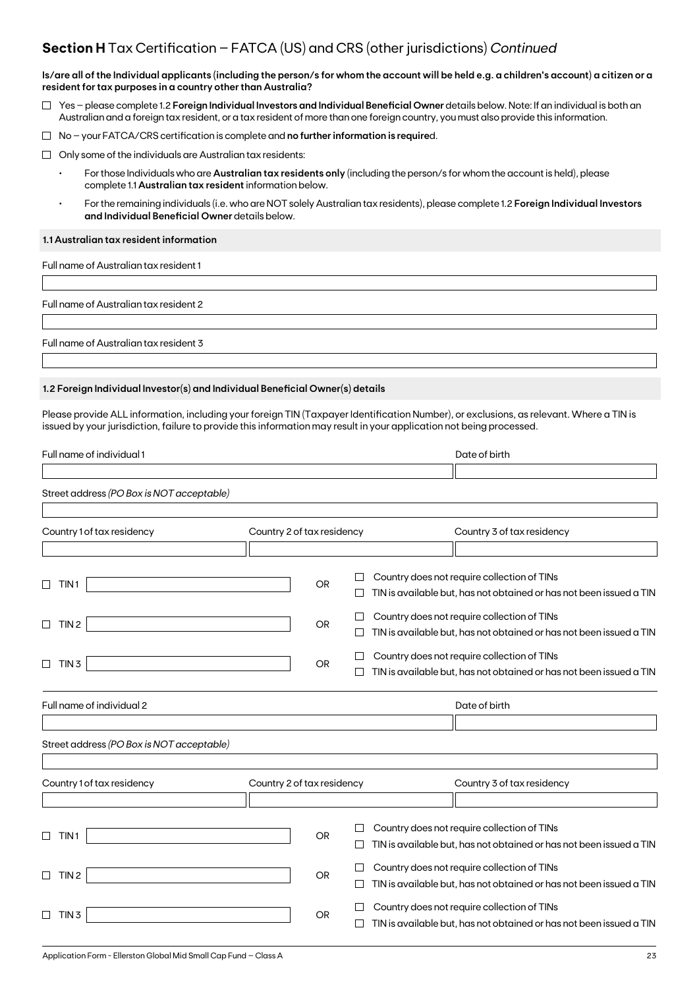### **Section H** Tax Certification – FATCA (US) and CRS (other jurisdictions) *Continued*

**Is/are all of the Individual applicants (including the person/s for whom the account will be held e.g. a children's account) a citizen or a resident for tax purposes in a country other than Australia?**

- Yes please complete 1.2 **Foreign Individual Investors and Individual Beneficial Owner** details below. Note: If an individual is both an Australian and a foreign tax resident, or a tax resident of more than one foreign country, you must also provide this information.
- No your FATCA/CRS certification is complete and **no further information is require**d.
- $\Box$  Only some of the individuals are Australian tax residents:
	- For those Individuals who are **Australian tax residents only** (including the person/s for whom the account is held), please complete 1.1 **Australian tax resident** information below.
	- For the remaining individuals (i.e. who are NOT solely Australian tax residents), please complete 1.2 **Foreign Individual Investors and Individual Beneficial Owner** details below.

### **1.1 Australian tax resident information**

Full name of Australian tax resident 1

Full name of Australian tax resident 2

Full name of Australian tax resident 3

### **1.2 Foreign Individual Investor(s) and Individual Beneficial Owner(s) details**

Please provide ALL information, including your foreign TIN (Taxpayer Identification Number), or exclusions, as relevant. Where a TIN is issued by your jurisdiction, failure to provide this information may result in your application not being processed.

| Full name of individual 1                                        |                            | Date of birth                                                                                                      |
|------------------------------------------------------------------|----------------------------|--------------------------------------------------------------------------------------------------------------------|
| Street address (PO Box is NOT acceptable)                        |                            |                                                                                                                    |
| Country 1 of tax residency                                       | Country 2 of tax residency | Country 3 of tax residency                                                                                         |
|                                                                  |                            |                                                                                                                    |
| П<br>TIN <sub>1</sub>                                            | <b>OR</b>                  | Country does not require collection of TINs<br>TIN is available but, has not obtained or has not been issued a TIN |
| TIN <sub>2</sub><br>⊔                                            | <b>OR</b>                  | Country does not require collection of TINs<br>TIN is available but, has not obtained or has not been issued a TIN |
| TIN <sub>3</sub><br>$\Box$                                       | <b>OR</b>                  | Country does not require collection of TINs<br>TIN is available but, has not obtained or has not been issued a TIN |
| Full name of individual 2                                        |                            | Date of birth                                                                                                      |
| Street address (PO Box is NOT acceptable)                        |                            |                                                                                                                    |
|                                                                  |                            |                                                                                                                    |
| Country 1 of tax residency                                       | Country 2 of tax residency | Country 3 of tax residency                                                                                         |
|                                                                  |                            |                                                                                                                    |
| TIN <sub>1</sub><br>⊔                                            | <b>OR</b>                  | Country does not require collection of TINs<br>TIN is available but, has not obtained or has not been issued a TIN |
| TIN <sub>2</sub><br>$\Box$                                       | OR                         | Country does not require collection of TINs<br>TIN is available but, has not obtained or has not been issued a TIN |
| TIN <sub>3</sub><br>$\Box$                                       | <b>OR</b>                  | Country does not require collection of TINs<br>TIN is available but, has not obtained or has not been issued a TIN |
| Application Form - Ellerston Global Mid Small Cap Fund – Class A |                            | 23                                                                                                                 |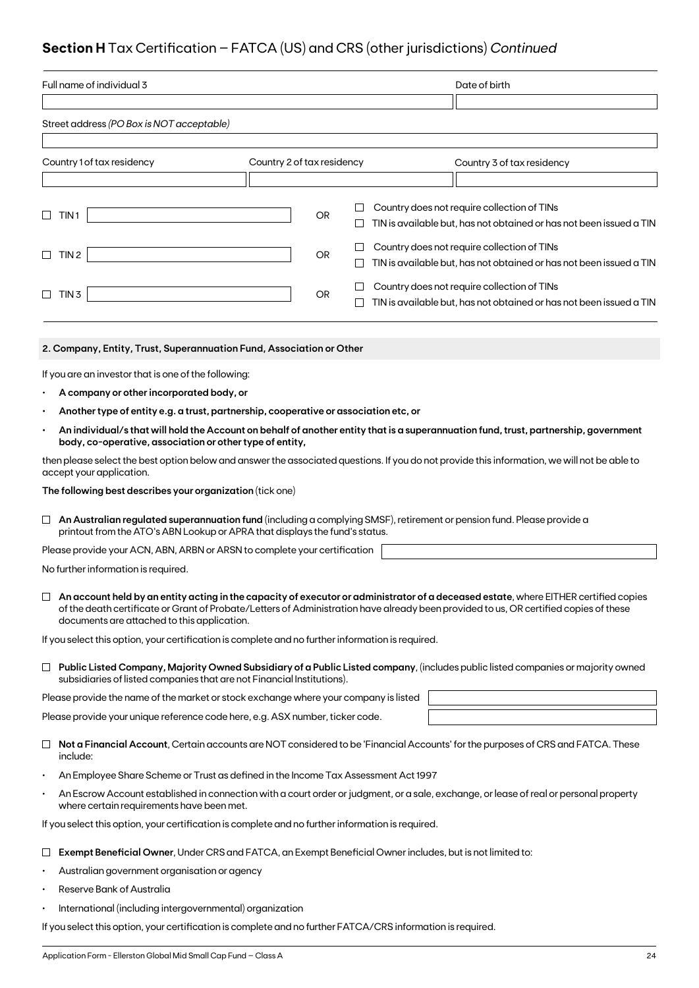## **Section H** Tax Certification – FATCA (US) and CRS (other jurisdictions) *Continued*

| Full name of individual 3                                                                                                                                                                                                                                                                                                    |           |   | Date of birth                                                       |  |
|------------------------------------------------------------------------------------------------------------------------------------------------------------------------------------------------------------------------------------------------------------------------------------------------------------------------------|-----------|---|---------------------------------------------------------------------|--|
|                                                                                                                                                                                                                                                                                                                              |           |   |                                                                     |  |
| Street address (PO Box is NOT acceptable)                                                                                                                                                                                                                                                                                    |           |   |                                                                     |  |
|                                                                                                                                                                                                                                                                                                                              |           |   |                                                                     |  |
| Country 2 of tax residency<br>Country 1 of tax residency                                                                                                                                                                                                                                                                     |           |   | Country 3 of tax residency                                          |  |
|                                                                                                                                                                                                                                                                                                                              |           |   |                                                                     |  |
|                                                                                                                                                                                                                                                                                                                              |           | ш | Country does not require collection of TINs                         |  |
| TIN <sub>1</sub><br>$\Box$                                                                                                                                                                                                                                                                                                   | <b>OR</b> |   | TIN is available but, has not obtained or has not been issued a TIN |  |
|                                                                                                                                                                                                                                                                                                                              |           | ⊔ | Country does not require collection of TINs                         |  |
| TIN <sub>2</sub><br>⊔                                                                                                                                                                                                                                                                                                        | <b>OR</b> | ⊔ | TIN is available but, has not obtained or has not been issued a TIN |  |
|                                                                                                                                                                                                                                                                                                                              |           |   | Country does not require collection of TINs                         |  |
| TIN 3<br>⊔                                                                                                                                                                                                                                                                                                                   | OR        | ⊔ | TIN is available but, has not obtained or has not been issued a TIN |  |
|                                                                                                                                                                                                                                                                                                                              |           |   |                                                                     |  |
| 2. Company, Entity, Trust, Superannuation Fund, Association or Other                                                                                                                                                                                                                                                         |           |   |                                                                     |  |
| If you are an investor that is one of the following:                                                                                                                                                                                                                                                                         |           |   |                                                                     |  |
| A company or other incorporated body, or                                                                                                                                                                                                                                                                                     |           |   |                                                                     |  |
| Another type of entity e.g. a trust, partnership, cooperative or association etc, or                                                                                                                                                                                                                                         |           |   |                                                                     |  |
| An individual/s that will hold the Account on behalf of another entity that is a superannuation fund, trust, partnership, government<br>$\bullet$                                                                                                                                                                            |           |   |                                                                     |  |
| body, co-operative, association or other type of entity,                                                                                                                                                                                                                                                                     |           |   |                                                                     |  |
| then please select the best option below and answer the associated questions. If you do not provide this information, we will not be able to<br>accept your application.                                                                                                                                                     |           |   |                                                                     |  |
| The following best describes your organization (tick one)                                                                                                                                                                                                                                                                    |           |   |                                                                     |  |
| An Australian regulated superannuation fund (including a complying SMSF), retirement or pension fund. Please provide a<br>ப<br>printout from the ATO's ABN Lookup or APRA that displays the fund's status.                                                                                                                   |           |   |                                                                     |  |
| Please provide your ACN, ABN, ARBN or ARSN to complete your certification                                                                                                                                                                                                                                                    |           |   |                                                                     |  |
| No further information is required.                                                                                                                                                                                                                                                                                          |           |   |                                                                     |  |
| An account held by an entity acting in the capacity of executor or administrator of a deceased estate, where EITHER certified copies<br>of the death certificate or Grant of Probate/Letters of Administration have already been provided to us, OR certified copies of these<br>documents are attached to this application. |           |   |                                                                     |  |
| If you select this option, your certification is complete and no further information is required.                                                                                                                                                                                                                            |           |   |                                                                     |  |
| $\Box$ Public Listed Company, Majority Owned Subsidiary of a Public Listed company, (includes public listed companies or majority owned<br>subsidiaries of listed companies that are not Financial Institutions).                                                                                                            |           |   |                                                                     |  |
| Please provide the name of the market or stock exchange where your company is listed                                                                                                                                                                                                                                         |           |   |                                                                     |  |
| Please provide your unique reference code here, e.g. ASX number, ticker code.                                                                                                                                                                                                                                                |           |   |                                                                     |  |
| Not a Financial Account, Certain accounts are NOT considered to be 'Financial Accounts' for the purposes of CRS and FATCA. These<br>⊔<br>include:                                                                                                                                                                            |           |   |                                                                     |  |
| An Employee Share Scheme or Trust as defined in the Income Tax Assessment Act 1997<br>$\bullet$                                                                                                                                                                                                                              |           |   |                                                                     |  |
| An Escrow Account established in connection with a court order or judgment, or a sale, exchange, or lease of real or personal property<br>where certain requirements have been met.                                                                                                                                          |           |   |                                                                     |  |
| If you select this option, your certification is complete and no further information is required.                                                                                                                                                                                                                            |           |   |                                                                     |  |
| Exempt Beneficial Owner, Under CRS and FATCA, an Exempt Beneficial Owner includes, but is not limited to:                                                                                                                                                                                                                    |           |   |                                                                     |  |
|                                                                                                                                                                                                                                                                                                                              |           |   |                                                                     |  |

- Australian government organisation or agency
- Reserve Bank of Australia
- International (including intergovernmental) organization

If you select this option, your certification is complete and no further FATCA/CRS information is required.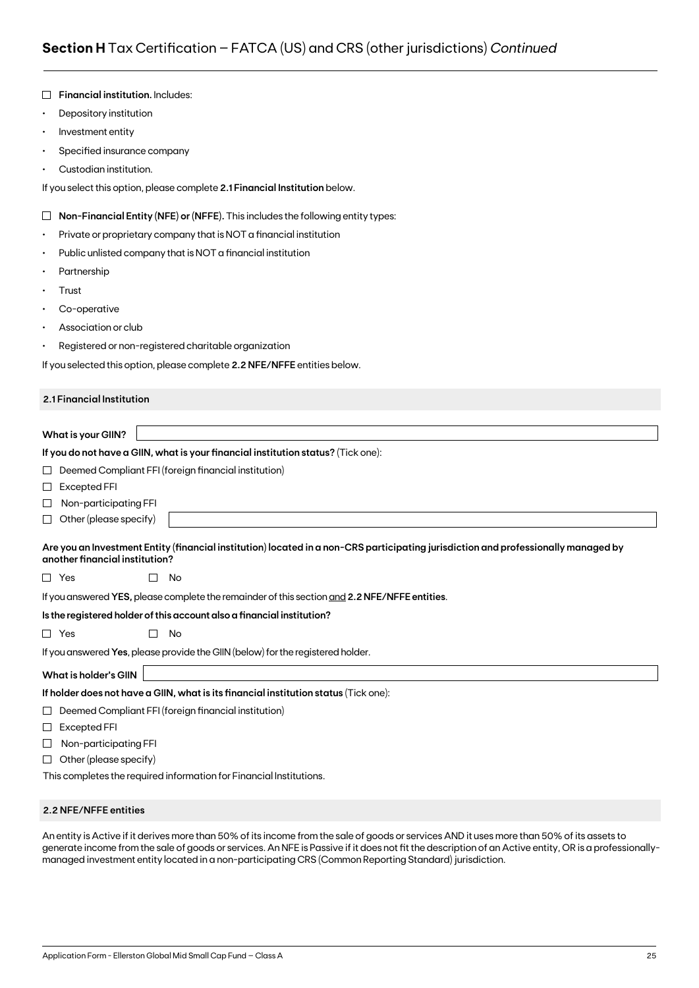|           | Financial institution. Includes:                                                                                                                                     |
|-----------|----------------------------------------------------------------------------------------------------------------------------------------------------------------------|
| $\bullet$ | Depository institution                                                                                                                                               |
| $\bullet$ | Investment entity                                                                                                                                                    |
| ٠         | Specified insurance company                                                                                                                                          |
|           | Custodian institution.                                                                                                                                               |
|           | If you select this option, please complete 2.1 Financial Institution below.                                                                                          |
| $\Box$    | Non-Financial Entity (NFE) or (NFFE). This includes the following entity types:                                                                                      |
| ٠         | Private or proprietary company that is NOT a financial institution                                                                                                   |
| ٠         | Public unlisted company that is NOT a financial institution                                                                                                          |
|           | Partnership                                                                                                                                                          |
| ٠         | Trust                                                                                                                                                                |
| ٠         | Co-operative                                                                                                                                                         |
|           | Association or club                                                                                                                                                  |
| ٠         | Registered or non-registered charitable organization                                                                                                                 |
|           | If you selected this option, please complete 2.2 NFE/NFFE entities below.                                                                                            |
|           | 2.1 Financial Institution                                                                                                                                            |
|           | <b>What is your GIIN?</b>                                                                                                                                            |
|           | If you do not have a GIIN, what is your financial institution status? (Tick one):                                                                                    |
| ப         | Deemed Compliant FFI (foreign financial institution)                                                                                                                 |
| $\sqcup$  | <b>Excepted FFI</b>                                                                                                                                                  |
| ⊔         | Non-participating FFI                                                                                                                                                |
| ⊔         | Other (please specify)                                                                                                                                               |
|           | Are you an Investment Entity (financial institution) located in a non-CRS participating jurisdiction and professionally managed by<br>another financial institution? |
|           | $\Box$ Yes<br>No                                                                                                                                                     |
|           | If you answered YES, please complete the remainder of this section and 2.2 NFE/NFFE entities.                                                                        |
|           | Is the registered holder of this account also a financial institution?                                                                                               |
|           | $\Box$ Yes<br>П<br>No                                                                                                                                                |
|           | If you answered Yes, please provide the GIIN (below) for the registered holder.                                                                                      |
|           | <b>What is holder's GIIN</b>                                                                                                                                         |
|           | If holder does not have a GIIN, what is its financial institution status (Tick one):                                                                                 |
| ⊔         | Deemed Compliant FFI (foreign financial institution)                                                                                                                 |
| ⊔         | Excepted FFI                                                                                                                                                         |
| ⊔         | Non-participating FFI                                                                                                                                                |
| ⊔         | Other (please specify)                                                                                                                                               |
|           | This completes the required information for Financial Institutions.                                                                                                  |

### **2.2 NFE/NFFE entities**

An entity is Active if it derives more than 50% of its income from the sale of goods or services AND it uses more than 50% of its assets to generate income from the sale of goods or services. An NFE is Passive if it does not fit the description of an Active entity, OR is a professionallymanaged investment entity located in a non-participating CRS (Common Reporting Standard) jurisdiction.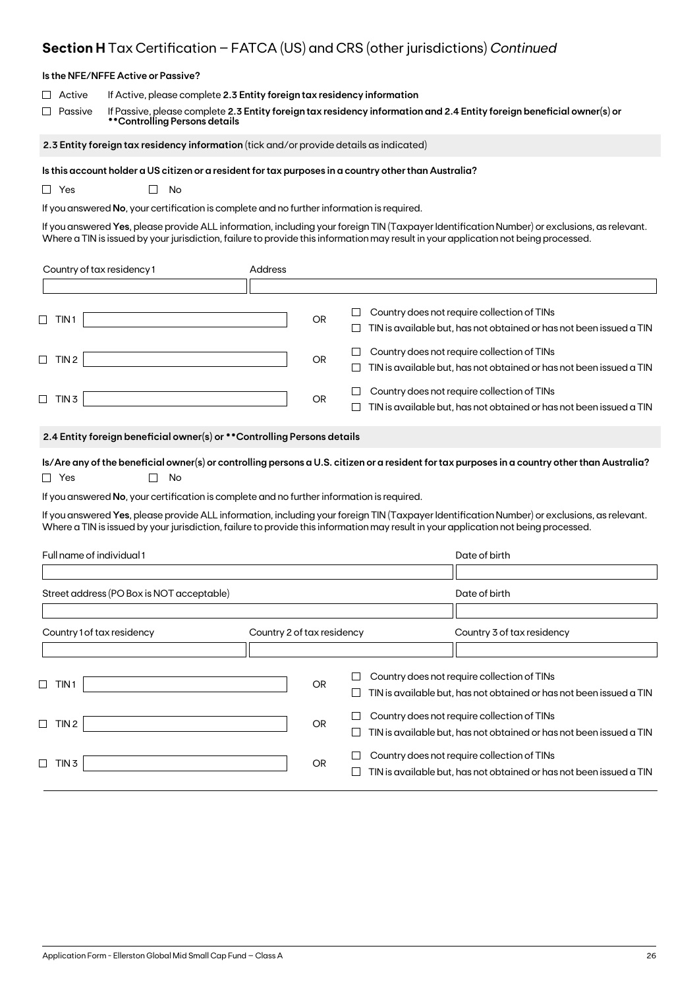## **Section H** Tax Certification – FATCA (US) and CRS (other jurisdictions) *Continued*

|                              | Is the NFE/NFFE Active or Passive?                                                                                                                                                                                                 |                            |           |             |                                                                                                                                                                                                                                                                                     |
|------------------------------|------------------------------------------------------------------------------------------------------------------------------------------------------------------------------------------------------------------------------------|----------------------------|-----------|-------------|-------------------------------------------------------------------------------------------------------------------------------------------------------------------------------------------------------------------------------------------------------------------------------------|
| Active<br>Passive            | If Active, please complete 2.3 Entity foreign tax residency information<br>If Passive, please complete 2.3 Entity foreign tax residency information and 2.4 Entity foreign beneficial owner(s) or<br>**Controlling Persons details |                            |           |             |                                                                                                                                                                                                                                                                                     |
|                              | 2.3 Entity foreign tax residency information (tick and/or provide details as indicated)                                                                                                                                            |                            |           |             |                                                                                                                                                                                                                                                                                     |
| $\Box$ Yes                   | Is this account holder a US citizen or a resident for tax purposes in a country other than Australia?<br>No<br>$\mathbf{L}$<br>If you answered No, your certification is complete and no further information is required.          |                            |           |             | If you answered Yes, please provide ALL information, including your foreign TIN (Taxpayer Identification Number) or exclusions, as relevant.<br>Where a TIN is issued by your jurisdiction, failure to provide this information may result in your application not being processed. |
| Country of tax residency 1   |                                                                                                                                                                                                                                    | Address                    |           |             |                                                                                                                                                                                                                                                                                     |
|                              |                                                                                                                                                                                                                                    |                            |           |             |                                                                                                                                                                                                                                                                                     |
| $\Box$ TIN1                  |                                                                                                                                                                                                                                    |                            | <b>OR</b> | $\Box$<br>⊔ | Country does not require collection of TINs<br>TIN is available but, has not obtained or has not been issued a TIN                                                                                                                                                                  |
| $\Box$ TIN 2                 |                                                                                                                                                                                                                                    |                            | OR        | ப<br>ப      | Country does not require collection of TINs<br>TIN is available but, has not obtained or has not been issued a TIN                                                                                                                                                                  |
| $\Box$ TIN 3                 |                                                                                                                                                                                                                                    |                            | OR        |             | Country does not require collection of TINs<br>TIN is available but, has not obtained or has not been issued a TIN                                                                                                                                                                  |
|                              | 2.4 Entity foreign beneficial owner(s) or ** Controlling Persons details                                                                                                                                                           |                            |           |             |                                                                                                                                                                                                                                                                                     |
| $\Box$ Yes                   | No                                                                                                                                                                                                                                 |                            |           |             | Is/Are any of the beneficial owner(s) or controlling persons a U.S. citizen or a resident for tax purposes in a country other than Australia?                                                                                                                                       |
|                              | If you answered No, your certification is complete and no further information is required.                                                                                                                                         |                            |           |             |                                                                                                                                                                                                                                                                                     |
|                              |                                                                                                                                                                                                                                    |                            |           |             | If you answered Yes, please provide ALL information, including your foreign TIN (Taxpayer Identification Number) or exclusions, as relevant.<br>Where a TIN is issued by your jurisdiction, failure to provide this information may result in your application not being processed. |
| Full name of individual 1    |                                                                                                                                                                                                                                    |                            |           |             | Date of birth                                                                                                                                                                                                                                                                       |
|                              | Street address (PO Box is NOT acceptable)                                                                                                                                                                                          |                            |           |             | Date of birth                                                                                                                                                                                                                                                                       |
|                              |                                                                                                                                                                                                                                    |                            |           |             |                                                                                                                                                                                                                                                                                     |
| Country 1 of tax residency   |                                                                                                                                                                                                                                    | Country 2 of tax residency |           |             | Country 3 of tax residency                                                                                                                                                                                                                                                          |
| $\sqcup$<br>TIN <sub>1</sub> |                                                                                                                                                                                                                                    |                            | <b>OR</b> | ப           | Country does not require collection of TINs<br>TIN is available but, has not obtained or has not been issued a TIN                                                                                                                                                                  |
| $\Box$ TIN 2                 |                                                                                                                                                                                                                                    |                            | <b>OR</b> | $\Box$<br>ப | Country does not require collection of TINs<br>TIN is available but, has not obtained or has not been issued a TIN                                                                                                                                                                  |
| $\Box$ TIN 3                 |                                                                                                                                                                                                                                    |                            | OR        | ப<br>$\Box$ | Country does not require collection of TINs<br>TIN is available but, has not obtained or has not been issued a TIN                                                                                                                                                                  |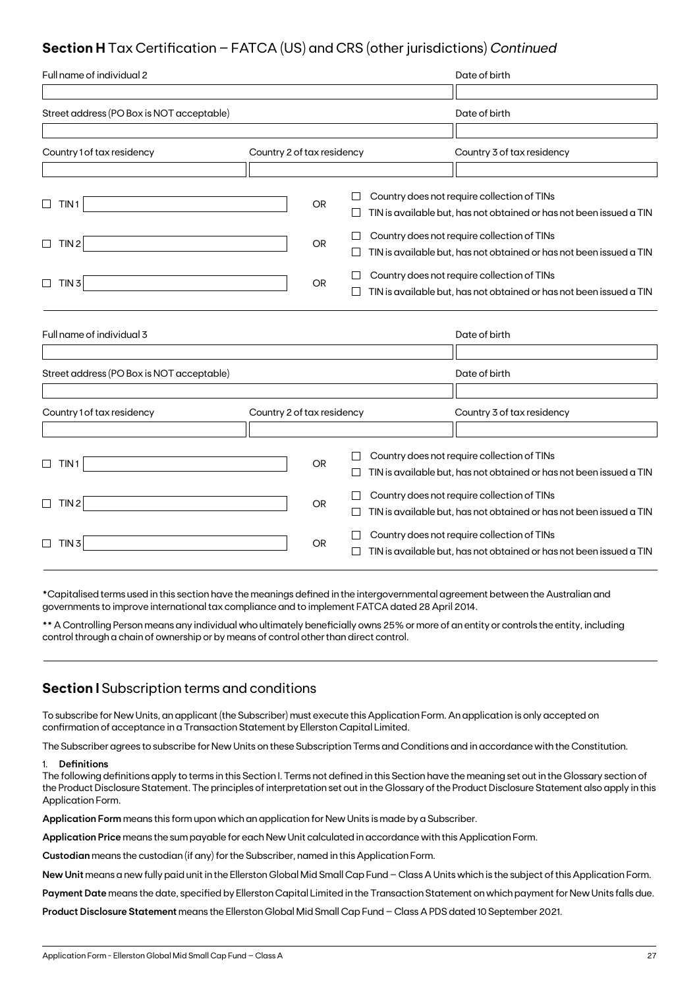## **Section H** Tax Certification – FATCA (US) and CRS (other jurisdictions) *Continued*

| Full name of individual 2                 |                            |           |         | Date of birth                                                                                                      |
|-------------------------------------------|----------------------------|-----------|---------|--------------------------------------------------------------------------------------------------------------------|
|                                           |                            |           |         |                                                                                                                    |
| Street address (PO Box is NOT acceptable) |                            |           |         | Date of birth                                                                                                      |
|                                           |                            |           |         |                                                                                                                    |
| Country 1 of tax residency                | Country 2 of tax residency |           |         | Country 3 of tax residency                                                                                         |
|                                           |                            |           |         |                                                                                                                    |
| $\Box$<br>TIN <sub>1</sub>                |                            | <b>OR</b> |         | Country does not require collection of TINs<br>TIN is available but, has not obtained or has not been issued a TIN |
| TIN <sub>2</sub><br>$\Box$                |                            | <b>OR</b> |         | Country does not require collection of TINs<br>TIN is available but, has not obtained or has not been issued a TIN |
| $\Box$<br>TIN <sub>3</sub>                |                            | <b>OR</b> |         | Country does not require collection of TINs<br>TIN is available but, has not obtained or has not been issued a TIN |
| Full name of individual 3                 |                            |           |         | Date of birth                                                                                                      |
| Street address (PO Box is NOT acceptable) |                            |           |         | Date of birth                                                                                                      |
|                                           |                            |           |         |                                                                                                                    |
| Country 1 of tax residency                | Country 2 of tax residency |           |         | Country 3 of tax residency                                                                                         |
| TIN 1<br>⊔                                |                            | <b>OR</b> | $\perp$ | Country does not require collection of TINs<br>TIN is available but, has not obtained or has not been issued a TIN |
| TIN <sub>2</sub><br>$\Box$                |                            | <b>OR</b> |         | Country does not require collection of TINs<br>TIN is available but, has not obtained or has not been issued a TIN |
| TIN <sub>3</sub><br>$\Box$                |                            | OR.       |         | Country does not require collection of TINs<br>TIN is available but, has not obtained or has not been issued a TIN |

\*Capitalised terms used in this section have the meanings defined in the intergovernmental agreement between the Australian and governments to improve international tax compliance and to implement FATCA dated 28 April 2014.

\*\* A Controlling Person means any individual who ultimately beneficially owns 25% or more of an entity or controls the entity, including control through a chain of ownership or by means of control other than direct control.

### **Section I** Subscription terms and conditions

To subscribe for New Units, an applicant (the Subscriber) must execute this Application Form. An application is only accepted on confirmation of acceptance in a Transaction Statement by Ellerston Capital Limited.

The Subscriber agrees to subscribe for New Units on these Subscription Terms and Conditions and in accordance with the Constitution.

### 1. **Definitions**

The following definitions apply to terms in this Section I. Terms not defined in this Section have the meaning set out in the Glossary section of the Product Disclosure Statement. The principles of interpretation set out in the Glossary of the Product Disclosure Statement also apply in this Application Form.

**Application Form** means this form upon which an application for New Units is made by a Subscriber.

**Application Price** means the sum payable for each New Unit calculated in accordance with this Application Form.

**Custodian** means the custodian (if any) for the Subscriber, named in this Application Form.

**New Unit** means a new fully paid unit in the Ellerston Global Mid Small Cap Fund – Class A Units which is the subject of this Application Form.

**Payment Date** means the date, specified by Ellerston Capital Limited in the Transaction Statement on which payment for New Units falls due.

**Product Disclosure Statement** means the Ellerston Global Mid Small Cap Fund – Class A PDS dated 10 September 2021.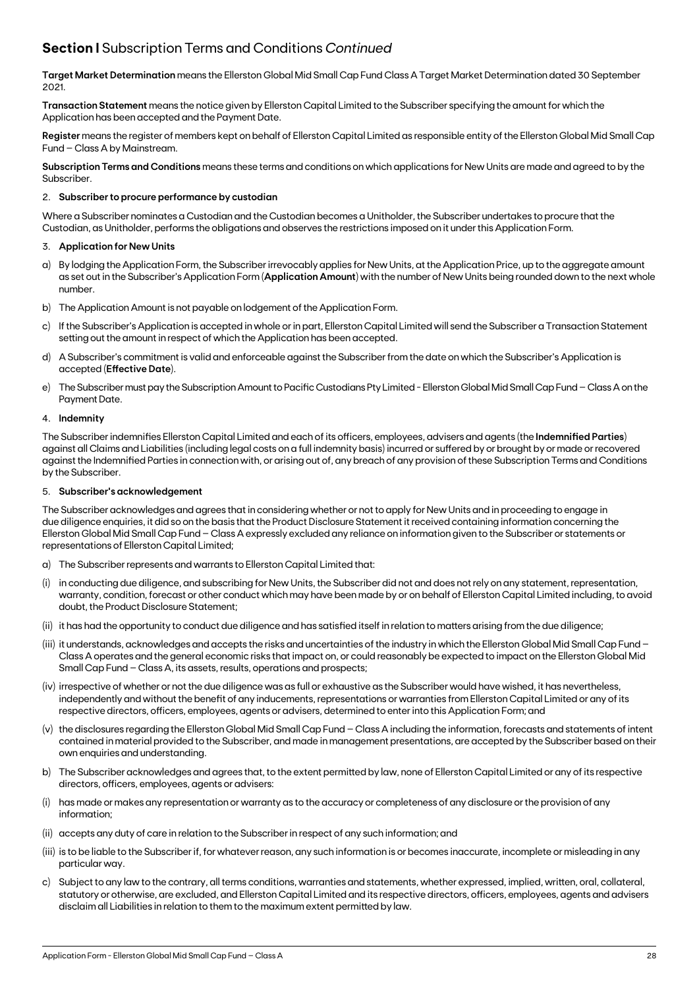## **Section I** Subscription Terms and Conditions *Continued*

**Target Market Determination** means the Ellerston Global Mid Small Cap Fund Class A Target Market Determination dated 30 September 2021.

**Transaction Statement** means the notice given by Ellerston Capital Limited to the Subscriber specifying the amount for which the Application has been accepted and the Payment Date.

**Register** means the register of members kept on behalf of Ellerston Capital Limited as responsible entity of the Ellerston Global Mid Small Cap Fund – Class A by Mainstream.

**Subscription Terms and Conditions** means these terms and conditions on which applications for New Units are made and agreed to by the Subscriber.

### 2. **Subscriber to procure performance by custodian**

Where a Subscriber nominates a Custodian and the Custodian becomes a Unitholder, the Subscriber undertakes to procure that the Custodian, as Unitholder, performs the obligations and observes the restrictions imposed on it under this Application Form.

### 3. **Application for New Units**

- a) By lodging the Application Form, the Subscriber irrevocably applies for New Units, at the Application Price, up to the aggregate amount as set out in the Subscriber's Application Form (**Application Amount**) with the number of New Units being rounded down to the next whole number.
- b) The Application Amount is not payable on lodgement of the Application Form.
- c) If the Subscriber's Application is accepted in whole or in part, Ellerston Capital Limited will send the Subscriber a Transaction Statement setting out the amount in respect of which the Application has been accepted.
- d) A Subscriber's commitment is valid and enforceable against the Subscriber from the date on which the Subscriber's Application is accepted (**Effective Date**).
- e) The Subscriber must pay the Subscription Amount to Pacific Custodians Pty Limited Ellerston Global Mid Small Cap Fund Class A on the Payment Date.

### 4. **Indemnity**

The Subscriber indemnifies Ellerston Capital Limited and each of its officers, employees, advisers and agents (the **Indemnified Parties**) against all Claims and Liabilities (including legal costs on a full indemnity basis) incurred or suffered by or brought by or made or recovered against the Indemnified Parties in connection with, or arising out of, any breach of any provision of these Subscription Terms and Conditions by the Subscriber.

### 5. **Subscriber's acknowledgement**

The Subscriber acknowledges and agrees that in considering whether or not to apply for New Units and in proceeding to engage in due diligence enquiries, it did so on the basis that the Product Disclosure Statement it received containing information concerning the Ellerston Global Mid Small Cap Fund – Class A expressly excluded any reliance on information given to the Subscriber or statements or representations of Ellerston Capital Limited;

- a) The Subscriber represents and warrants to Ellerston Capital Limited that:
- (i) in conducting due diligence, and subscribing for New Units, the Subscriber did not and does not rely on any statement, representation, warranty, condition, forecast or other conduct which may have been made by or on behalf of Ellerston Capital Limited including, to avoid doubt, the Product Disclosure Statement;
- (ii) it has had the opportunity to conduct due diligence and has satisfied itself in relation to matters arising from the due diligence;
- (iii) it understands, acknowledges and accepts the risks and uncertainties of the industry in which the Ellerston Global Mid Small Cap Fund Class A operates and the general economic risks that impact on, or could reasonably be expected to impact on the Ellerston Global Mid Small Cap Fund – Class A, its assets, results, operations and prospects;
- (iv) irrespective of whether or not the due diligence was as full or exhaustive as the Subscriber would have wished, it has nevertheless, independently and without the benefit of any inducements, representations or warranties from Ellerston Capital Limited or any of its respective directors, officers, employees, agents or advisers, determined to enter into this Application Form; and
- (v) the disclosures regarding the Ellerston Global Mid Small Cap Fund Class A including the information, forecasts and statements of intent contained in material provided to the Subscriber, and made in management presentations, are accepted by the Subscriber based on their own enquiries and understanding.
- b) The Subscriber acknowledges and agrees that, to the extent permitted by law, none of Ellerston Capital Limited or any of its respective directors, officers, employees, agents or advisers:
- has made or makes any representation or warranty as to the accuracy or completeness of any disclosure or the provision of any information;
- (ii) accepts any duty of care in relation to the Subscriber in respect of any such information; and
- (iii) is to be liable to the Subscriber if, for whatever reason, any such information is or becomes inaccurate, incomplete or misleading in any particular way.
- c) Subject to any law to the contrary, all terms conditions, warranties and statements, whether expressed, implied, written, oral, collateral, statutory or otherwise, are excluded, and Ellerston Capital Limited and its respective directors, officers, employees, agents and advisers disclaim all Liabilities in relation to them to the maximum extent permitted by law.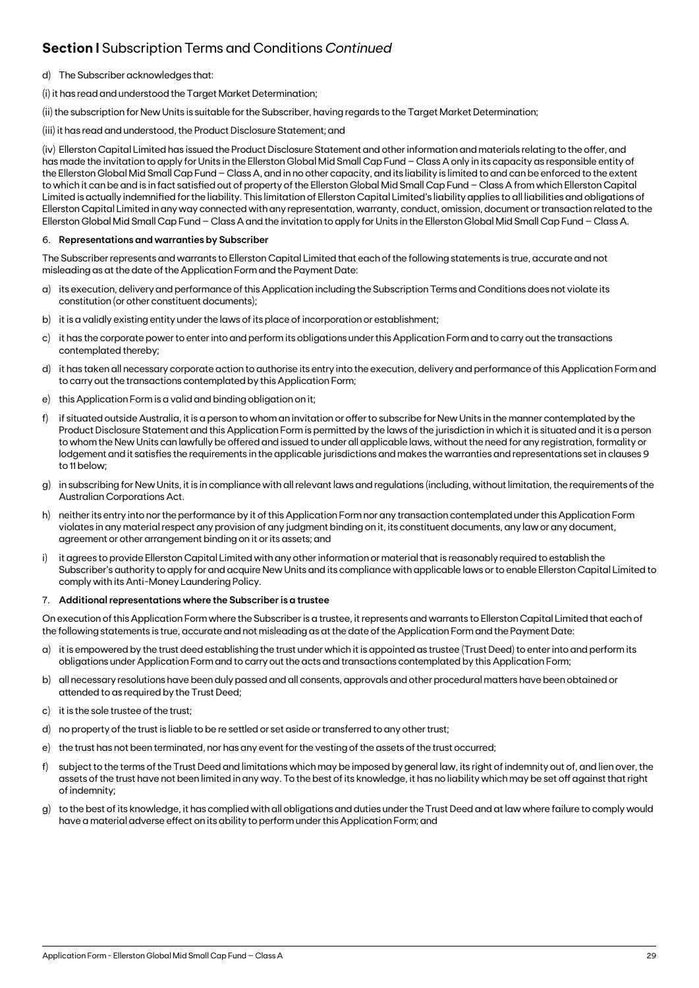## **Section I** Subscription Terms and Conditions *Continued*

- d) The Subscriber acknowledges that:
- (i) it has read and understood the Target Market Determination;

(ii) the subscription for New Units is suitable for the Subscriber, having regards to the Target Market Determination;

(iii) it has read and understood, the Product Disclosure Statement; and

(iv) Ellerston Capital Limited has issued the Product Disclosure Statement and other information and materials relating to the offer, and has made the invitation to apply for Units in the Ellerston Global Mid Small Cap Fund – Class A only in its capacity as responsible entity of the Ellerston Global Mid Small Cap Fund – Class A, and in no other capacity, and its liability is limited to and can be enforced to the extent to which it can be and is in fact satisfied out of property of the Ellerston Global Mid Small Cap Fund – Class A from which Ellerston Capital Limited is actually indemnified for the liability. This limitation of Ellerston Capital Limited's liability applies to all liabilities and obligations of Ellerston Capital Limited in any way connected with any representation, warranty, conduct, omission, document or transaction related to the Ellerston Global Mid Small Cap Fund – Class A and the invitation to apply for Units in the Ellerston Global Mid Small Cap Fund – Class A.

### 6. **Representations and warranties by Subscriber**

The Subscriber represents and warrants to Ellerston Capital Limited that each of the following statements is true, accurate and not misleading as at the date of the Application Form and the Payment Date:

- a) its execution, delivery and performance of this Application including the Subscription Terms and Conditions does not violate its constitution (or other constituent documents);
- b) it is a validly existing entity under the laws of its place of incorporation or establishment;
- c) it has the corporate power to enter into and perform its obligations under this Application Form and to carry out the transactions contemplated thereby;
- d) it has taken all necessary corporate action to authorise its entry into the execution, delivery and performance of this Application Form and to carry out the transactions contemplated by this Application Form;
- e) this Application Form is a valid and binding obligation on it;
- f) if situated outside Australia, it is a person to whom an invitation or offer to subscribe for New Units in the manner contemplated by the Product Disclosure Statement and this Application Form is permitted by the laws of the jurisdiction in which it is situated and it is a person to whom the New Units can lawfully be offered and issued to under all applicable laws, without the need for any registration, formality or lodgement and it satisfies the requirements in the applicable jurisdictions and makes the warranties and representations set in clauses 9 to 11 below;
- g) in subscribing for New Units, it is in compliance with all relevant laws and regulations (including, without limitation, the requirements of the Australian Corporations Act.
- h) neither its entry into nor the performance by it of this Application Form nor any transaction contemplated under this Application Form violates in any material respect any provision of any judgment binding on it, its constituent documents, any law or any document, agreement or other arrangement binding on it or its assets; and
- i) it agrees to provide Ellerston Capital Limited with any other information or material that is reasonably required to establish the Subscriber's authority to apply for and acquire New Units and its compliance with applicable laws or to enable Ellerston Capital Limited to comply with its Anti-Money Laundering Policy.

### 7. **Additional representations where the Subscriber is a trustee**

On execution of this Application Form where the Subscriber is a trustee, it represents and warrants to Ellerston Capital Limited that each of the following statements is true, accurate and not misleading as at the date of the Application Form and the Payment Date:

- a) it is empowered by the trust deed establishing the trust under which it is appointed as trustee (Trust Deed) to enter into and perform its obligations under Application Form and to carry out the acts and transactions contemplated by this Application Form;
- b) all necessary resolutions have been duly passed and all consents, approvals and other procedural matters have been obtained or attended to as required by the Trust Deed;
- c) it is the sole trustee of the trust;
- d) no property of the trust is liable to be re settled or set aside or transferred to any other trust;
- e) the trust has not been terminated, nor has any event for the vesting of the assets of the trust occurred;
- f) subject to the terms of the Trust Deed and limitations which may be imposed by general law, its right of indemnity out of, and lien over, the assets of the trust have not been limited in any way. To the best of its knowledge, it has no liability which may be set off against that right of indemnity;
- g) to the best of its knowledge, it has complied with all obligations and duties under the Trust Deed and at law where failure to comply would have a material adverse effect on its ability to perform under this Application Form; and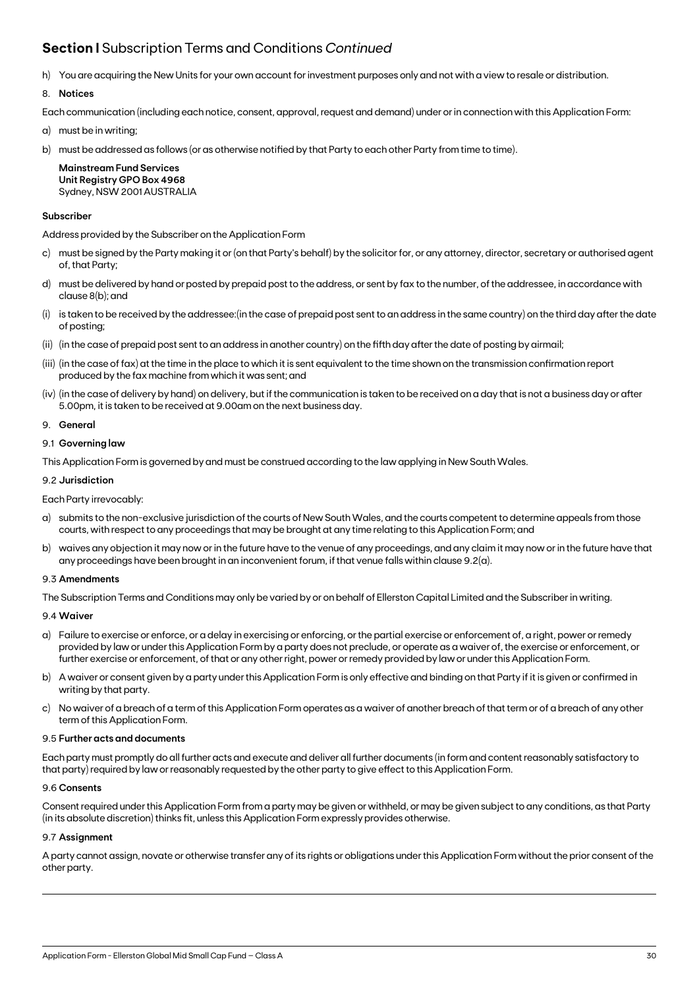## **Section I** Subscription Terms and Conditions *Continued*

h) You are acquiring the New Units for your own account for investment purposes only and not with a view to resale or distribution.

### 8. **Notices**

Each communication (including each notice, consent, approval, request and demand) under or in connection with this Application Form:

- a) must be in writing;
- b) must be addressed as follows (or as otherwise notified by that Party to each other Party from time to time).

**Mainstream Fund Services Unit Registry GPO Box 4968** Sydney, NSW 2001 AUSTRALIA

### **Subscriber**

Address provided by the Subscriber on the Application Form

- c) must be signed by the Party making it or (on that Party's behalf) by the solicitor for, or any attorney, director, secretary or authorised agent of, that Party;
- d) must be delivered by hand or posted by prepaid post to the address, or sent by fax to the number, of the addressee, in accordance with clause 8(b); and
- (i) is taken to be received by the addressee:(in the case of prepaid post sent to an address in the same country) on the third day after the date of posting;
- (ii) (in the case of prepaid post sent to an address in another country) on the fifth day after the date of posting by airmail;
- (iii) (in the case of fax) at the time in the place to which it is sent equivalent to the time shown on the transmission confirmation report produced by the fax machine from which it was sent; and
- (iv) (in the case of delivery by hand) on delivery, but if the communication is taken to be received on a day that is not a business day or after 5.00pm, it is taken to be received at 9.00am on the next business day.

### 9. **General**

### 9.1 **Governing law**

This Application Form is governed by and must be construed according to the law applying in New South Wales.

### 9.2 **Jurisdiction**

Each Party irrevocably:

- a) submits to the non-exclusive jurisdiction of the courts of New South Wales, and the courts competent to determine appeals from those courts, with respect to any proceedings that may be brought at any time relating to this Application Form; and
- b) waives any objection it may now or in the future have to the venue of any proceedings, and any claim it may now or in the future have that any proceedings have been brought in an inconvenient forum, if that venue falls within clause 9.2(a).

### 9.3 **Amendments**

The Subscription Terms and Conditions may only be varied by or on behalf of Ellerston Capital Limited and the Subscriber in writing.

### 9.4 **Waiver**

- a) Failure to exercise or enforce, or a delay in exercising or enforcing, or the partial exercise or enforcement of, a right, power or remedy provided by law or under this Application Form by a party does not preclude, or operate as a waiver of, the exercise or enforcement, or further exercise or enforcement, of that or any other right, power or remedy provided by law or under this Application Form.
- b) A waiver or consent given by a party under this Application Form is only effective and binding on that Party if it is given or confirmed in writing by that party.
- c) No waiver of a breach of a term of this Application Form operates as a waiver of another breach of that term or of a breach of any other term of this Application Form.

### 9.5 **Further acts and documents**

Each party must promptly do all further acts and execute and deliver all further documents (in form and content reasonably satisfactory to that party) required by law or reasonably requested by the other party to give effect to this Application Form.

### 9.6 **Consents**

Consent required under this Application Form from a party may be given or withheld, or may be given subject to any conditions, as that Party (in its absolute discretion) thinks fit, unless this Application Form expressly provides otherwise.

### 9.7 **Assignment**

A party cannot assign, novate or otherwise transfer any of its rights or obligations under this Application Form without the prior consent of the other party.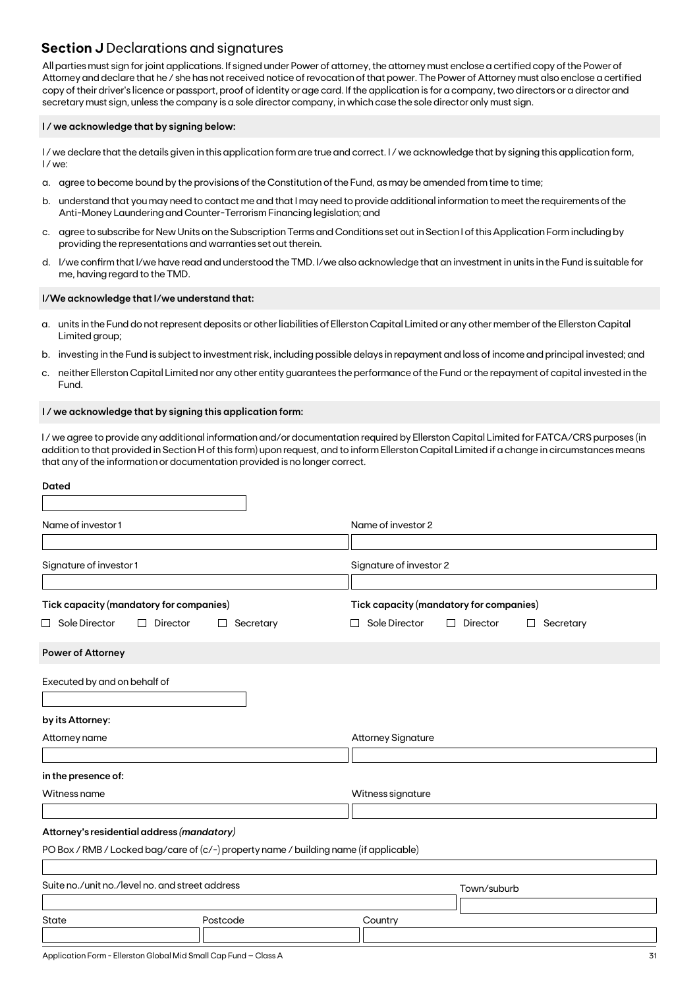### **Section J** Declarations and signatures

All parties must sign for joint applications. If signed under Power of attorney, the attorney must enclose a certified copy of the Power of Attorney and declare that he / she has not received notice of revocation of that power. The Power of Attorney must also enclose a certified copy of their driver's licence or passport, proof of identity or age card. If the application is for a company, two directors or a director and secretary must sign, unless the company is a sole director company, in which case the sole director only must sign.

### **I / we acknowledge that by signing below:**

I/we declare that the details given in this application form are true and correct. I/we acknowledge that by signing this application form, I / we:

- a. agree to become bound by the provisions of the Constitution of the Fund, as may be amended from time to time;
- b. understand that you may need to contact me and that I may need to provide additional information to meet the requirements of the Anti-Money Laundering and Counter-Terrorism Financing legislation; and
- c. agree to subscribe for New Units on the Subscription Terms and Conditions set out in Section I of this Application Form including by providing the representations and warranties set out therein.
- d. I/we confirm that I/we have read and understood the TMD. I/we also acknowledge that an investment in units in the Fund is suitable for me, having regard to the TMD.

### **I/We acknowledge that I/we understand that:**

- a. units in the Fund do not represent deposits or other liabilities of Ellerston Capital Limited or any other member of the Ellerston Capital Limited group;
- b. investing in the Fund is subject to investment risk, including possible delays in repayment and loss of income and principal invested; and
- c. neither Ellerston Capital Limited nor any other entity guarantees the performance of the Fund or the repayment of capital invested in the Fund.

### **I / we acknowledge that by signing this application form:**

I / we agree to provide any additional information and/or documentation required by Ellerston Capital Limited for FATCA/CRS purposes (in addition to that provided in Section H of this form) upon request, and to inform Ellerston Capital Limited if a change in circumstances means that any of the information or documentation provided is no longer correct.

| <b>Dated</b>                                                                                                  |                                                                                                   |
|---------------------------------------------------------------------------------------------------------------|---------------------------------------------------------------------------------------------------|
| Name of investor 1                                                                                            | Name of investor 2                                                                                |
| Signature of investor 1                                                                                       | Signature of investor 2                                                                           |
| Tick capacity (mandatory for companies)<br>$\Box$ Sole Director<br>Director<br>Secretary<br>$\mathsf{L}$<br>⊔ | Tick capacity (mandatory for companies)<br>Sole Director<br>Director<br>Secretary<br>$\mathsf{L}$ |
| <b>Power of Attorney</b>                                                                                      |                                                                                                   |
| Executed by and on behalf of                                                                                  |                                                                                                   |
| by its Attorney:                                                                                              |                                                                                                   |
| Attorney name                                                                                                 | <b>Attorney Signature</b>                                                                         |
| in the presence of:                                                                                           |                                                                                                   |
| Witness name                                                                                                  | Witness signature                                                                                 |
| Attorney's residential address (mandatory)                                                                    |                                                                                                   |
| PO Box / RMB / Locked bag/care of (c/-) property name / building name (if applicable)                         |                                                                                                   |
| Suite no./unit no./level no. and street address                                                               | Town/suburb                                                                                       |
| Postcode<br><b>State</b>                                                                                      | Country                                                                                           |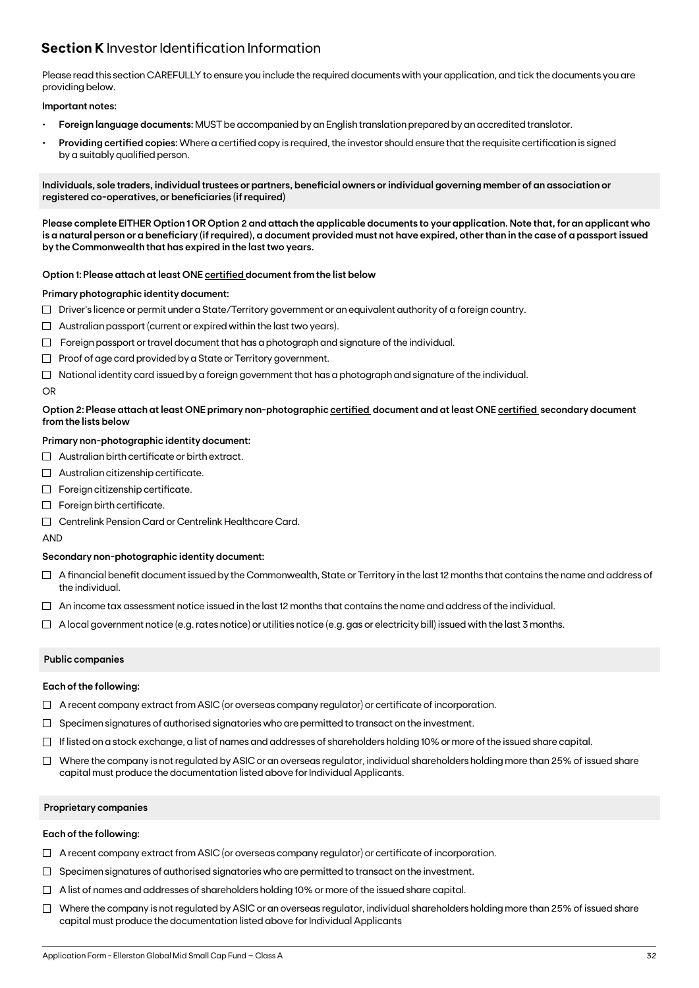### **Section K** Investor Identification Information

Please read this section CAREFULLY to ensure you include the required documents with your application, and tick the documents you are providing below.

### **Important notes:**

- **• Foreign language documents:** MUST be accompanied by an English translation prepared by an accredited translator.
- **Providing certified copies:** Where a certified copy is required, the investor should ensure that the requisite certification is signed by a suitably qualified person.

**Individuals, sole traders, individual trustees or partners, beneficial owners or individual governing member of an association or registered co-operatives, or beneficiaries (if required)**

**Please complete EITHER Option 1 OR Option 2 and attach the applicable documents to your application. Note that, for an applicant who is a natural person or a beneficiary (if required), a document provided must not have expired, other than in the case of a passport issued by the Commonwealth that has expired in the last two years.**

### **Option 1: Please attach at least ONE certified document from the list below**

### **Primary photographic identity document:**

- $\Box$  Driver's licence or permit under a State/Territory government or an equivalent authority of a foreign country.
- $\Box$  Australian passport (current or expired within the last two years).
- $\Box$  Foreign passport or travel document that has a photograph and signature of the individual.
- $\Box$  Proof of age card provided by a State or Territory government.
- $\Box$  National identity card issued by a foreign government that has a photograph and signature of the individual.

### OR

### **Option 2: Please attach at least ONE primary non-photographic certified document and at least ONE certified secondary document from the lists below**

### **Primary non-photographic identity document:**

- $\Box$  Australian birth certificate or birth extract.
- $\Box$  Australian citizenship certificate.
- $\Box$  Foreign citizenship certificate.
- Foreign birth certificate.
- Centrelink Pension Card or Centrelink Healthcare Card.

AND

### **Secondary non-photographic identity document:**

- $\Box$  A financial benefit document issued by the Commonwealth, State or Territory in the last 12 months that contains the name and address of the individual.
- $\Box$  An income tax assessment notice issued in the last 12 months that contains the name and address of the individual.
- $\Box$  A local government notice (e.g. rates notice) or utilities notice (e.g. gas or electricity bill) issued with the last 3 months.

### **Public companies**

### **Each of the following:**

- $\Box$  A recent company extract from ASIC (or overseas company regulator) or certificate of incorporation.
- $\Box$  Specimen signatures of authorised signatories who are permitted to transact on the investment.
- $\Box$  If listed on a stock exchange, a list of names and addresses of shareholders holding 10% or more of the issued share capital.
- $\Box$  Where the company is not regulated by ASIC or an overseas regulator, individual shareholders holding more than 25% of issued share capital must produce the documentation listed above for Individual Applicants.

### **Proprietary companies**

### **Each of the following:**

- $\Box$  A recent company extract from ASIC (or overseas company regulator) or certificate of incorporation.
- $\Box$  Specimen signatures of authorised signatories who are permitted to transact on the investment.
- $\Box$  A list of names and addresses of shareholders holding 10% or more of the issued share capital.
- $\Box$  Where the company is not regulated by ASIC or an overseas regulator, individual shareholders holding more than 25% of issued share capital must produce the documentation listed above for Individual Applicants